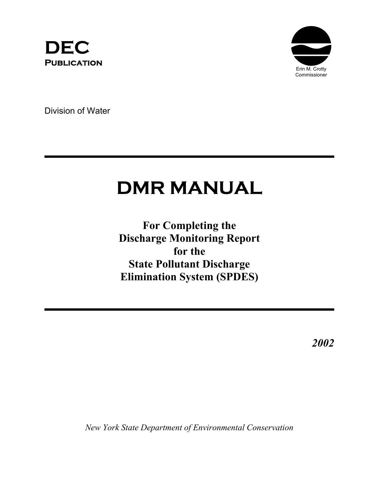



Division of Water

# **DMR MANUAL**

**For Completing the Discharge Monitoring Report for the State Pollutant Discharge Elimination System (SPDES)**

*2002*

*New York State Department of Environmental Conservation*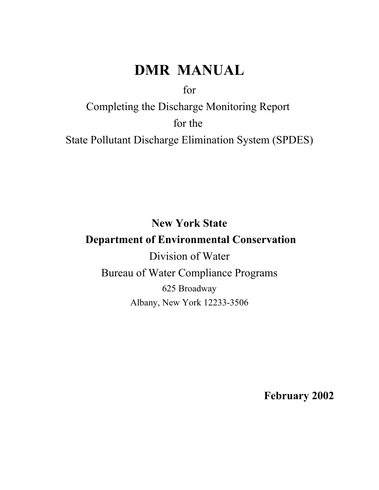## **DMR MANUAL**

for

Completing the Discharge Monitoring Report for the State Pollutant Discharge Elimination System (SPDES)

**New York State Department of Environmental Conservation** Division of Water Bureau of Water Compliance Programs 625 Broadway Albany, New York 12233-3506

**February 2002**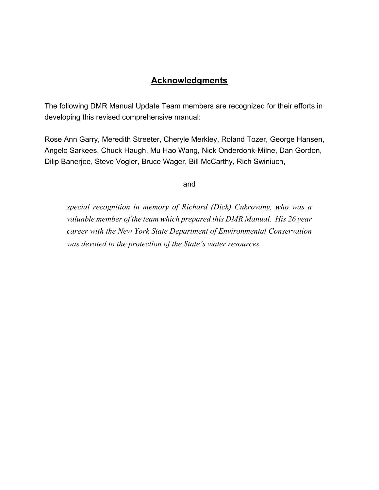## **Acknowledgments**

The following DMR Manual Update Team members are recognized for their efforts in developing this revised comprehensive manual:

Rose Ann Garry, Meredith Streeter, Cheryle Merkley, Roland Tozer, George Hansen, Angelo Sarkees, Chuck Haugh, Mu Hao Wang, Nick Onderdonk-Milne, Dan Gordon, Dilip Banerjee, Steve Vogler, Bruce Wager, Bill McCarthy, Rich Swiniuch,

and

*special recognition in memory of Richard (Dick) Cukrovany, who was a valuable member of the team which prepared this DMR Manual. His 26 year career with the New York State Department of Environmental Conservation was devoted to the protection of the State's water resources.*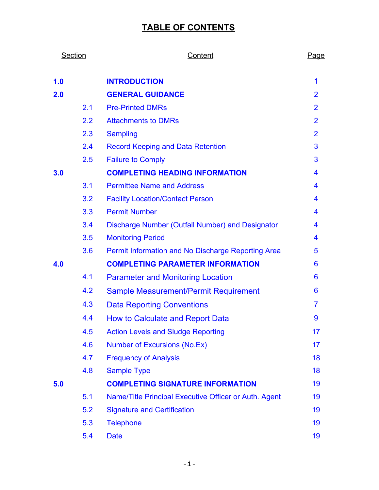## **TABLE OF CONTENTS**

| Section |     | Content                                               |                |
|---------|-----|-------------------------------------------------------|----------------|
| 1.0     |     | <b>INTRODUCTION</b>                                   | 1              |
| 2.0     |     | <b>GENERAL GUIDANCE</b>                               | $\overline{2}$ |
|         | 2.1 | <b>Pre-Printed DMRs</b>                               | $\overline{2}$ |
|         | 2.2 | <b>Attachments to DMRs</b>                            | $\overline{2}$ |
|         | 2.3 | <b>Sampling</b>                                       | $\overline{2}$ |
|         | 2.4 | <b>Record Keeping and Data Retention</b>              | 3              |
|         | 2.5 | <b>Failure to Comply</b>                              | 3              |
| 3.0     |     | <b>COMPLETING HEADING INFORMATION</b>                 | 4              |
|         | 3.1 | <b>Permittee Name and Address</b>                     | 4              |
|         | 3.2 | <b>Facility Location/Contact Person</b>               | 4              |
|         | 3.3 | <b>Permit Number</b>                                  | 4              |
|         | 3.4 | Discharge Number (Outfall Number) and Designator      | 4              |
|         | 3.5 | <b>Monitoring Period</b>                              | 4              |
|         | 3.6 | Permit Information and No Discharge Reporting Area    | 5              |
| 4.0     |     | <b>COMPLETING PARAMETER INFORMATION</b>               | 6              |
|         | 4.1 | <b>Parameter and Monitoring Location</b>              | 6              |
|         | 4.2 | Sample Measurement/Permit Requirement                 | 6              |
|         | 4.3 | <b>Data Reporting Conventions</b>                     | 7              |
|         | 4.4 | <b>How to Calculate and Report Data</b>               | 9              |
|         | 4.5 | <b>Action Levels and Sludge Reporting</b>             | 17             |
|         | 4.6 | <b>Number of Excursions (No.Ex)</b>                   | 17             |
|         | 4.7 | <b>Frequency of Analysis</b>                          | 18             |
|         | 4.8 | <b>Sample Type</b>                                    | 18             |
| 5.0     |     | <b>COMPLETING SIGNATURE INFORMATION</b>               | 19             |
|         | 5.1 | Name/Title Principal Executive Officer or Auth. Agent | 19             |
|         | 5.2 | <b>Signature and Certification</b>                    | 19             |
|         | 5.3 | <b>Telephone</b>                                      | 19             |
|         | 5.4 | <b>Date</b>                                           | 19             |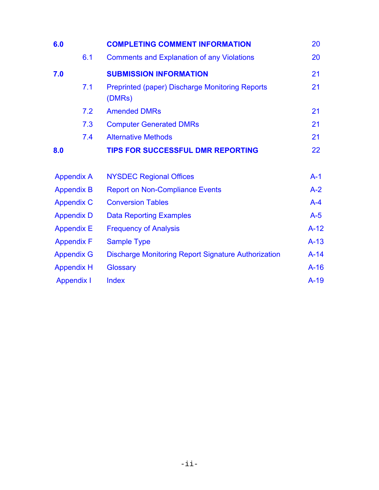| 6.0               | <b>COMPLETING COMMENT INFORMATION</b>                            | 20      |
|-------------------|------------------------------------------------------------------|---------|
| 6.1               | <b>Comments and Explanation of any Violations</b>                | 20      |
| 7.0               | <b>SUBMISSION INFORMATION</b>                                    | 21      |
| 7.1               | <b>Preprinted (paper) Discharge Monitoring Reports</b><br>(DMRs) | 21      |
| 7.2               | <b>Amended DMRs</b>                                              | 21      |
| 7.3               | <b>Computer Generated DMRs</b>                                   | 21      |
| 7.4               | <b>Alternative Methods</b>                                       | 21      |
| 8.0               | <b>TIPS FOR SUCCESSFUL DMR REPORTING</b>                         | 22      |
| <b>Appendix A</b> | <b>NYSDEC Regional Offices</b>                                   | $A-1$   |
| <b>Appendix B</b> | <b>Report on Non-Compliance Events</b>                           | $A-2$   |
| <b>Appendix C</b> | <b>Conversion Tables</b>                                         | $A - 4$ |
| <b>Appendix D</b> | <b>Data Reporting Examples</b>                                   | $A-5$   |
| <b>Appendix E</b> | <b>Frequency of Analysis</b>                                     | $A-12$  |
| <b>Appendix F</b> | <b>Sample Type</b>                                               | $A-13$  |
| <b>Appendix G</b> | <b>Discharge Monitoring Report Signature Authorization</b>       | $A-14$  |
| <b>Appendix H</b> | Glossary                                                         | $A-16$  |
| <b>Appendix I</b> | <b>Index</b>                                                     | $A-19$  |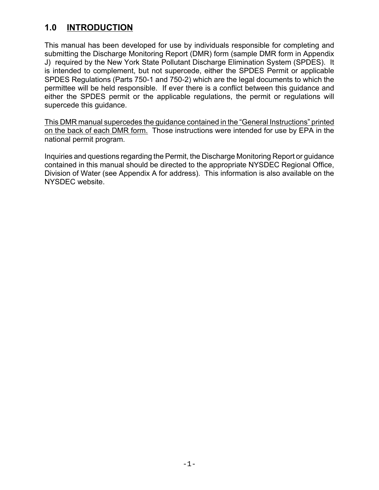## <span id="page-5-0"></span>**1.0 INTRODUCTION**

This manual has been developed for use by individuals responsible for completing and submitting the Discharge Monitoring Report (DMR) form (sample DMR form in Appendix J) required by the New York State Pollutant Discharge Elimination System (SPDES). It is intended to complement, but not supercede, either the SPDES Permit or applicable SPDES Regulations (Parts 750-1 and 750-2) which are the legal documents to which the permittee will be held responsible. If ever there is a conflict between this guidance and either the SPDES permit or the applicable regulations, the permit or regulations will supercede this guidance.

This DMR manual supercedes the guidance contained in the "General Instructions" printed on the back of each DMR form. Those instructions were intended for use by EPA in the national permit program.

Inquiries and questions regarding the Permit, the Discharge Monitoring Report or guidance contained in this manual should be directed to the appropriate NYSDEC Regional Office, Division of Water (see Appendix A for address). This information is also available on the NYSDEC website.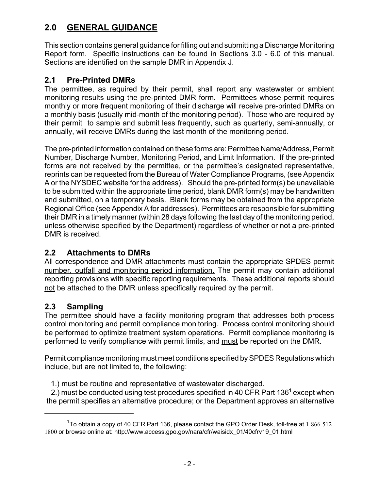## <span id="page-6-0"></span>**2.0 GENERAL GUIDANCE**

This section contains general guidance for filling out and submitting a Discharge Monitoring Report form. Specific instructions can be found in Sections 3.0 - 6.0 of this manual. Sections are identified on the sample DMR in Appendix J.

## **2.1 Pre-Printed DMRs**

The permittee, as required by their permit, shall report any wastewater or ambient monitoring results using the pre-printed DMR form. Permittees whose permit requires monthly or more frequent monitoring of their discharge will receive pre-printed DMRs on a monthly basis (usually mid-month of the monitoring period). Those who are required by their permit to sample and submit less frequently, such as quarterly, semi-annually, or annually, will receive DMRs during the last month of the monitoring period.

The pre-printed information contained on these forms are: Permittee Name/Address, Permit Number, Discharge Number, Monitoring Period, and Limit Information. If the pre-printed forms are not received by the permittee, or the permittee's designated representative, reprints can be requested from the Bureau of Water Compliance Programs, (see Appendix A or the NYSDEC website for the address). Should the pre-printed form(s) be unavailable to be submitted within the appropriate time period, blank DMR form(s) may be handwritten and submitted, on a temporary basis. Blank forms may be obtained from the appropriate Regional Office (see Appendix A for addresses). Permittees are responsible for submitting their DMR in a timely manner (within 28 days following the last day of the monitoring period, unless otherwise specified by the Department) regardless of whether or not a pre-printed DMR is received.

## **2.2 Attachments to DMRs**

All correspondence and DMR attachments must contain the appropriate SPDES permit number, outfall and monitoring period information. The permit may contain additional reporting provisions with specific reporting requirements. These additional reports should not be attached to the DMR unless specifically required by the permit.

## **2.3 Sampling**

The permittee should have a facility monitoring program that addresses both process control monitoring and permit compliance monitoring. Process control monitoring should be performed to optimize treatment system operations. Permit compliance monitoring is performed to verify compliance with permit limits, and must be reported on the DMR.

Permit compliance monitoring must meet conditions specified by SPDES Regulations which include, but are not limited to, the following:

1.) must be routine and representative of wastewater discharged.

2.) must be conducted using test procedures specified in 40 CFR Part 136<sup>1</sup> except when the permit specifies an alternative procedure; or the Department approves an alternative

 $^{1}$ To obtain a copy of 40 CFR Part 136, please contact the GPO Order Desk, toll-free at 1-866-512-1800 or browse online at: [http://www.access.gpo.gov/nara/cfr/waisidx\\_01/40cfrv19\\_01.html](http://www.access.gpo.gov/nara/cfr/waisidx_01/40cfrv19_01.html)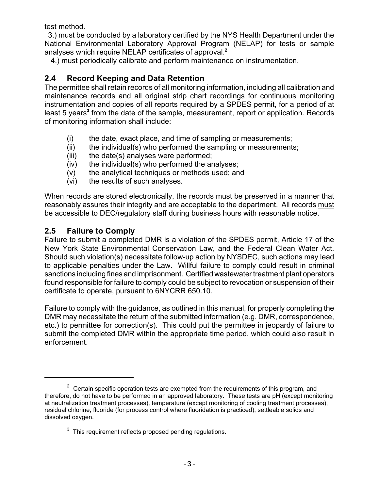<span id="page-7-0"></span>test method.

 3.) must be conducted by a laboratory certified by the NYS Health Department under the National Environmental Laboratory Approval Program (NELAP) for tests or sample analyses which require NELAP certificates of approval.**<sup>2</sup>**

4.) must periodically calibrate and perform maintenance on instrumentation.

## **2.4 Record Keeping and Data Retention**

The permittee shall retain records of all monitoring information, including all calibration and maintenance records and all original strip chart recordings for continuous monitoring instrumentation and copies of all reports required by a SPDES permit, for a period of at least 5 years<sup>3</sup> from the date of the sample, measurement, report or application. Records of monitoring information shall include:

- (i) the date, exact place, and time of sampling or measurements;
- $(i)$  the individual(s) who performed the sampling or measurements;
- (iii) the date(s) analyses were performed;
- (iv) the individual(s) who performed the analyses;
- (v) the analytical techniques or methods used; and
- (vi) the results of such analyses.

When records are stored electronically, the records must be preserved in a manner that reasonably assures their integrity and are acceptable to the department. All records must be accessible to DEC/regulatory staff during business hours with reasonable notice.

## **2.5 Failure to Comply**

Failure to submit a completed DMR is a violation of the SPDES permit, Article 17 of the New York State Environmental Conservation Law, and the Federal Clean Water Act. Should such violation(s) necessitate follow-up action by NYSDEC, such actions may lead to applicable penalties under the Law. Willful failure to comply could result in criminal sanctions including fines and imprisonment. Certified wastewater treatment plant operators found responsible for failure to comply could be subject to revocation or suspension of their certificate to operate, pursuant to 6NYCRR 650.10.

Failure to comply with the guidance, as outlined in this manual, for properly completing the DMR may necessitate the return of the submitted information (e.g. DMR, correspondence, etc.) to permittee for correction(s). This could put the permittee in jeopardy of failure to submit the completed DMR within the appropriate time period, which could also result in enforcement.

 $2^2$  Certain specific operation tests are exempted from the requirements of this program, and therefore, do not have to be performed in an approved laboratory. These tests are pH (except monitoring at neutralization treatment processes), temperature (except monitoring of cooling treatment processes), residual chlorine, fluoride (for process control where fluoridation is practiced), settleable solids and dissolved oxygen.

 $3$  This requirement reflects proposed pending regulations.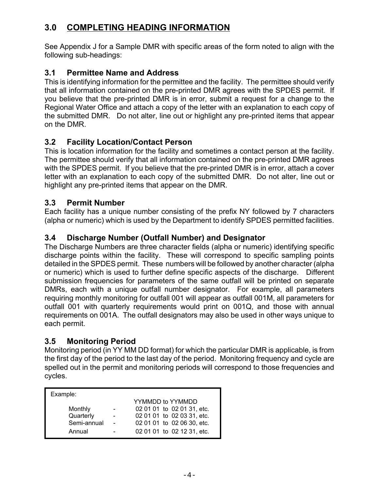## <span id="page-8-0"></span>**3.0 COMPLETING HEADING INFORMATION**

See Appendix J for a Sample DMR with specific areas of the form noted to align with the following sub-headings:

#### **3.1 Permittee Name and Address**

This is identifying information for the permittee and the facility. The permittee should verify that all information contained on the pre-printed DMR agrees with the SPDES permit. If you believe that the pre-printed DMR is in error, submit a request for a change to the Regional Water Office and attach a copy of the letter with an explanation to each copy of the submitted DMR. Do not alter, line out or highlight any pre-printed items that appear on the DMR.

## **3.2 Facility Location/Contact Person**

This is location information for the facility and sometimes a contact person at the facility. The permittee should verify that all information contained on the pre-printed DMR agrees with the SPDES permit. If you believe that the pre-printed DMR is in error, attach a cover letter with an explanation to each copy of the submitted DMR. Do not alter, line out or highlight any pre-printed items that appear on the DMR.

#### **3.3 Permit Number**

Each facility has a unique number consisting of the prefix NY followed by 7 characters (alpha or numeric) which is used by the Department to identify SPDES permitted facilities.

#### **3.4 Discharge Number (Outfall Number) and Designator**

The Discharge Numbers are three character fields (alpha or numeric) identifying specific discharge points within the facility. These will correspond to specific sampling points detailed in the SPDES permit. These numbers will be followed by another character (alpha or numeric) which is used to further define specific aspects of the discharge. Different submission frequencies for parameters of the same outfall will be printed on separate DMRs, each with a unique outfall number designator. For example, all parameters requiring monthly monitoring for outfall 001 will appear as outfall 001M, all parameters for outfall 001 with quarterly requirements would print on 001Q, and those with annual requirements on 001A. The outfall designators may also be used in other ways unique to each permit.

#### **3.5 Monitoring Period**

Monitoring period (in YY MM DD format) for which the particular DMR is applicable, is from the first day of the period to the last day of the period. Monitoring frequency and cycle are spelled out in the permit and monitoring periods will correspond to those frequencies and cycles.

| Example:    |  |                            |  |  |  |
|-------------|--|----------------------------|--|--|--|
|             |  | YYMMDD to YYMMDD           |  |  |  |
| Monthly     |  | 02 01 01 to 02 01 31, etc. |  |  |  |
| Quarterly   |  | 02 01 01 to 02 03 31, etc. |  |  |  |
| Semi-annual |  | 02 01 01 to 02 06 30, etc. |  |  |  |
| Annual      |  | 02 01 01 to 02 12 31, etc. |  |  |  |
|             |  |                            |  |  |  |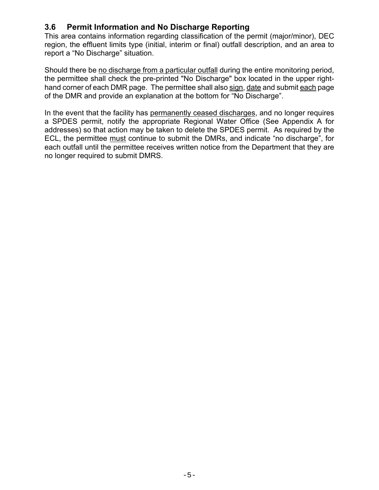#### <span id="page-9-0"></span>**3.6 Permit Information and No Discharge Reporting**

This area contains information regarding classification of the permit (major/minor), DEC region, the effluent limits type (initial, interim or final) outfall description, and an area to report a "No Discharge" situation.

Should there be no discharge from a particular outfall during the entire monitoring period, the permittee shall check the pre-printed "No Discharge" box located in the upper righthand corner of each DMR page. The permittee shall also sign, date and submit each page of the DMR and provide an explanation at the bottom for "No Discharge".

In the event that the facility has permanently ceased discharges, and no longer requires a SPDES permit, notify the appropriate Regional Water Office (See Appendix A for addresses) so that action may be taken to delete the SPDES permit. As required by the ECL, the permittee must continue to submit the DMRs, and indicate "no discharge", for each outfall until the permittee receives written notice from the Department that they are no longer required to submit DMRS.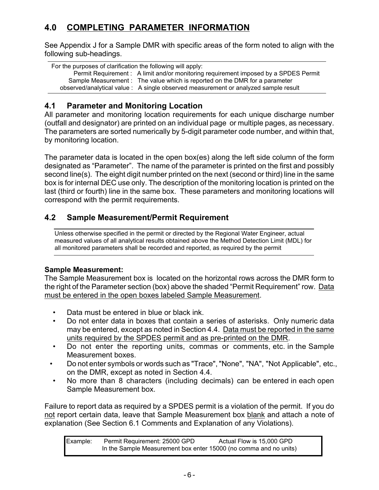## <span id="page-10-0"></span>**4.0 COMPLETING PARAMETER INFORMATION**

See Appendix J for a Sample DMR with specific areas of the form noted to align with the following sub-headings.

For the purposes of clarification the following will apply: Permit Requirement : A limit and/or monitoring requirement imposed by a SPDES Permit Sample Measurement : The value which is reported on the DMR for a parameter observed/analytical value : A single observed measurement or analyzed sample result

## **4.1 Parameter and Monitoring Location**

All parameter and monitoring location requirements for each unique discharge number (outfall and designator) are printed on an individual page or multiple pages, as necessary. The parameters are sorted numerically by 5-digit parameter code number, and within that, by monitoring location.

The parameter data is located in the open box(es) along the left side column of the form designated as "Parameter". The name of the parameter is printed on the first and possibly second line(s). The eight digit number printed on the next (second or third) line in the same box is for internal DEC use only. The description of the monitoring location is printed on the last (third or fourth) line in the same box. These parameters and monitoring locations will correspond with the permit requirements.

## **4.2 Sample Measurement/Permit Requirement**

Unless otherwise specified in the permit or directed by the Regional Water Engineer, actual measured values of all analytical results obtained above the Method Detection Limit (MDL) for all monitored parameters shall be recorded and reported, as required by the permit

#### **Sample Measurement:**

The Sample Measurement box is located on the horizontal rows across the DMR form to the right of the Parameter section (box) above the shaded "Permit Requirement" row. Data must be entered in the open boxes labeled Sample Measurement.

- Data must be entered in blue or black ink.
- Do not enter data in boxes that contain a series of asterisks. Only numeric data may be entered, except as noted in Section 4.4. Data must be reported in the same units required by the SPDES permit and as pre-printed on the DMR.
- Do not enter the reporting units, commas or comments, etc. in the Sample Measurement boxes.
- Do not enter symbols or words such as "Trace", "None", "NA", "Not Applicable", etc., on the DMR, except as noted in Section 4.4.
- No more than 8 characters (including decimals) can be entered in each open Sample Measurement box.

Failure to report data as required by a SPDES permit is a violation of the permit. If you do not report certain data, leave that Sample Measurement box blank and attach a note of explanation (See Section 6.1 Comments and Explanation of any Violations).

| Example: | Permit Requirement: 25000 GPD                                     | Actual Flow is 15,000 GPD |
|----------|-------------------------------------------------------------------|---------------------------|
|          | In the Sample Measurement box enter 15000 (no comma and no units) |                           |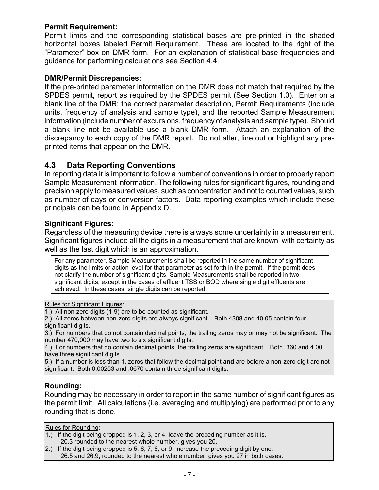#### <span id="page-11-0"></span>**Permit Requirement:**

Permit limits and the corresponding statistical bases are pre-printed in the shaded horizontal boxes labeled Permit Requirement. These are located to the right of the "Parameter" box on DMR form. For an explanation of statistical base frequencies and guidance for performing calculations see Section 4.4.

#### **DMR/Permit Discrepancies:**

If the pre-printed parameter information on the DMR does not match that required by the SPDES permit, report as required by the SPDES permit (See Section 1.0). Enter on a blank line of the DMR: the correct parameter description, Permit Requirements (include units, frequency of analysis and sample type), and the reported Sample Measurement information (include number of excursions, frequency of analysis and sample type). Should a blank line not be available use a blank DMR form. Attach an explanation of the discrepancy to each copy of the DMR report. Do not alter, line out or highlight any preprinted items that appear on the DMR.

#### **4.3 Data Reporting Conventions**

In reporting data it is important to follow a number of conventions in order to properly report Sample Measurement information. The following rules for significant figures, rounding and precision apply to measured values, such as concentration and not to counted values, such as number of days or conversion factors. Data reporting examples which include these principals can be found in Appendix D.

#### **Significant Figures:**

Regardless of the measuring device there is always some uncertainty in a measurement. Significant figures include all the digits in a measurement that are known with certainty as well as the last digit which is an approximation.

For any parameter, Sample Measurements shall be reported in the same number of significant digits as the limits or action level for that parameter as set forth in the permit. If the permit does not clarify the number of significant digits, Sample Measurements shall be reported in two significant digits, except in the cases of effluent TSS or BOD where single digit effluents are achieved. In these cases, single digits can be reported.

Rules for Significant Figures:

1.) All non-zero digits (1-9) are to be counted as significant.

2.) All zeros between non-zero digits are always significant. Both 4308 and 40.05 contain four significant digits.

3.) For numbers that do not contain decimal points, the trailing zeros may or may not be significant. The number 470,000 may have two to six significant digits.

4.) For numbers that do contain decimal points, the trailing zeros are significant. Both .360 and 4.00 have three significant digits.

5.) If a number is less than 1, zeros that follow the decimal point **and** are before a non-zero digit are not significant. Both 0.00253 and .0670 contain three significant digits.

#### **Rounding:**

Rounding may be necessary in order to report in the same number of significant figures as the permit limit. All calculations (i.e. averaging and multiplying) are performed prior to any rounding that is done.

Rules for Rounding:

- 1.) If the digit being dropped is 1, 2, 3, or 4, leave the preceding number as it is. 20.3 rounded to the nearest whole number, gives you 20.
- 2.) If the digit being dropped is 5, 6, 7, 8, or 9, increase the preceding digit by one. 26.5 and 26.9, rounded to the nearest whole number, gives you 27 in both cases.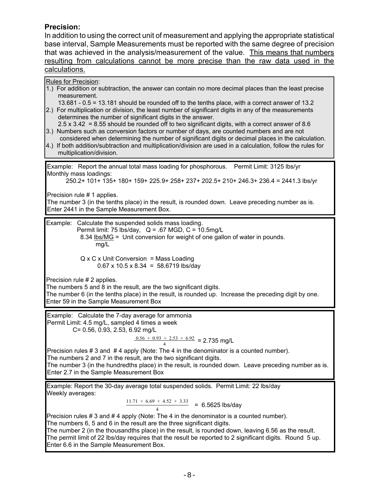#### **Precision:**

In addition to using the correct unit of measurement and applying the appropriate statistical base interval, Sample Measurements must be reported with the same degree of precision that was achieved in the analysis/measurement of the value. This means that numbers resulting from calculations cannot be more precise than the raw data used in the calculations.

Rules for Precision: 1.) For addition or subtraction, the answer can contain no more decimal places than the least precise measurement. 13.681 - 0.5 = 13.181 should be rounded off to the tenths place, with a correct answer of 13.2 2.) For multiplication or division, the least number of significant digits in any of the measurements determines the number of significant digits in the answer.  $2.5 \times 3.42 = 8.55$  should be rounded off to two significant digits, with a correct answer of 8.6 3.) Numbers such as conversion factors or number of days, are counted numbers and are not considered when determining the number of significant digits or decimal places in the calculation. 4.) If both addition/subtraction and multiplication/division are used in a calculation, follow the rules for multiplication/division. Example: Calculate the suspended solids mass loading. Permit limit: 75 lbs/day,  $Q = .67$  MGD,  $C = 10.5$ mg/L 8.34 lbs/MG = Unit conversion for weight of one gallon of water in pounds. mg/L  $Q \times C \times$  Unit Conversion = Mass Loading  $0.67 \times 10.5 \times 8.34 = 58.6719$  lbs/day Precision rule # 2 applies. The numbers 5 and 8 in the result, are the two significant digits. The number 6 (in the tenths place) in the result, is rounded up. Increase the preceding digit by one. Enter 59 in the Sample Measurement Box Example: Report the annual total mass loading for phosphorous. Permit Limit: 3125 lbs/yr Monthly mass loadings: 250.2+ 101+ 135+ 180+ 159+ 225.9+ 258+ 237+ 202.5+ 210+ 246.3+ 236.4 = 2441.3 lbs/yr Precision rule # 1 applies. The number 3 (in the tenths place) in the result, is rounded down. Leave preceding number as is. Enter 2441 in the Sample Measurement Box. Example: Calculate the 7-day average for ammonia Permit Limit: 4.5 mg/L, sampled 4 times a week C= 0.56, 0.93, 2.53, 6.92 mg/L  $\frac{0.56 + 0.93 + 2.53 + 6.92}{1}$  = 2.735 mg/L 4 Precision rules # 3 and # 4 apply (Note: The 4 in the denominator is a counted number). The numbers 2 and 7 in the result, are the two significant digits. The number 3 (in the hundredths place) in the result, is rounded down. Leave preceding number as is. Enter 2.7 in the Sample Measurement Box

Example: Report the 30-day average total suspended solids. Permit Limit: 22 lbs/day Weekly averages:

> $\frac{11.71 + 6.69 + 4.52 + 3.33}{11.71 + 6.69 + 4.52 + 3.33} = 6.5625$  lbs/day 4

Precision rules # 3 and # 4 apply (Note: The 4 in the denominator is a counted number). The numbers 6, 5 and 6 in the result are the three significant digits.

The number 2 (in the thousandths place) in the result, is rounded down, leaving 6.56 as the result. The permit limit of 22 lbs/day requires that the result be reported to 2 significant digits. Round 5 up. Enter 6.6 in the Sample Measurement Box.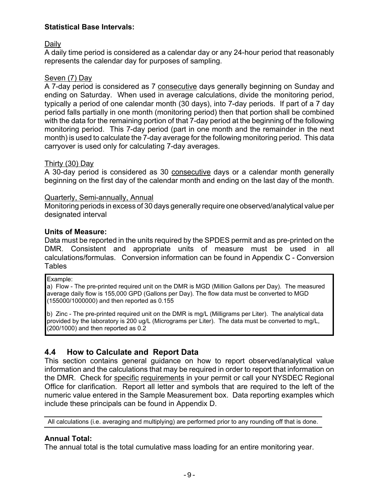#### <span id="page-13-0"></span>**Statistical Base Intervals:**

Daily

A daily time period is considered as a calendar day or any 24-hour period that reasonably represents the calendar day for purposes of sampling.

#### Seven (7) Day

A 7-day period is considered as 7 consecutive days generally beginning on Sunday and ending on Saturday. When used in average calculations, divide the monitoring period, typically a period of one calendar month (30 days), into 7-day periods. If part of a 7 day period falls partially in one month (monitoring period) then that portion shall be combined with the data for the remaining portion of that 7-day period at the beginning of the following monitoring period. This 7-day period (part in one month and the remainder in the next month) is used to calculate the 7-day average for the following monitoring period. This data carryover is used only for calculating 7-day averages.

#### Thirty (30) Day

A 30-day period is considered as 30 consecutive days or a calendar month generally beginning on the first day of the calendar month and ending on the last day of the month.

#### Quarterly, Semi-annually, Annual

Monitoring periods in excess of 30 days generally require one observed/analytical value per designated interval

#### **Units of Measure:**

Data must be reported in the units required by the SPDES permit and as pre-printed on the DMR. Consistent and appropriate units of measure must be used in all calculations/formulas. Conversion information can be found in Appendix C - Conversion **Tables** 

#### Example:

a) Flow - The pre-printed required unit on the DMR is MGD (Million Gallons per Day). The measured average daily flow is 155,000 GPD (Gallons per Day). The flow data must be converted to MGD (155000/1000000) and then reported as 0.155

b) Zinc - The pre-printed required unit on the DMR is mg/L (Milligrams per Liter). The analytical data provided by the laboratory is 200 ug/L (Micrograms per Liter). The data must be converted to mg/L, (200/1000) and then reported as 0.2

#### **4.4 How to Calculate and Report Data**

This section contains general guidance on how to report observed/analytical value information and the calculations that may be required in order to report that information on the DMR. Check for specific requirements in your permit or call your NYSDEC Regional Office for clarification. Report all letter and symbols that are required to the left of the numeric value entered in the Sample Measurement box. Data reporting examples which include these principals can be found in Appendix D.

All calculations (i.e. averaging and multiplying) are performed prior to any rounding off that is done.

#### **Annual Total:**

The annual total is the total cumulative mass loading for an entire monitoring year.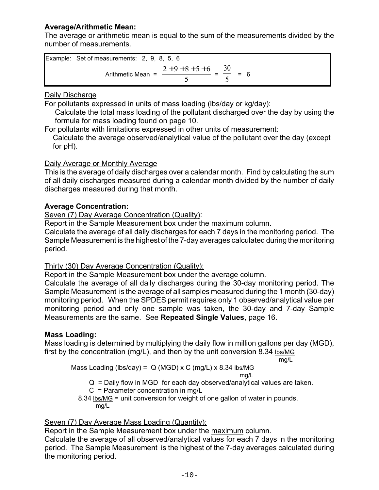#### **Average/Arithmetic Mean:**

The average or arithmetic mean is equal to the sum of the measurements divided by the number of measurements.

|             | Example: Set of measurements: 2, 9, 8, 5, 6 |     |  |  |
|-------------|---------------------------------------------|-----|--|--|
| $2+9+8+5+6$ |                                             | - 6 |  |  |
|             | Arithmetic Mean $=$                         |     |  |  |

#### Daily Discharge

For pollutants expressed in units of mass loading (lbs/day or kg/day):

 Calculate the total mass loading of the pollutant discharged over the day by using the formula for mass loading found on page 10.

For pollutants with limitations expressed in other units of measurement: Calculate the average observed/analytical value of the pollutant over the day (except for pH).

#### Daily Average or Monthly Average

This is the average of daily discharges over a calendar month. Find by calculating the sum of all daily discharges measured during a calendar month divided by the number of daily discharges measured during that month.

#### **Average Concentration:**

Seven (7) Day Average Concentration (Quality):

Report in the Sample Measurement box under the maximum column.

Calculate the average of all daily discharges for each 7 days in the monitoring period. The Sample Measurement is the highest of the 7-day averages calculated during the monitoring period.

#### Thirty (30) Day Average Concentration (Quality):

Report in the Sample Measurement box under the average column.

Calculate the average of all daily discharges during the 30-day monitoring period. The Sample Measurement is the average of all samples measured during the 1 month (30-day) monitoring period. When the SPDES permit requires only 1 observed/analytical value per monitoring period and only one sample was taken, the 30-day and 7-day Sample Measurements are the same. See **Repeated Single Values**, page 16.

#### **Mass Loading:**

Mass loading is determined by multiplying the daily flow in million gallons per day (MGD), first by the concentration (mg/L), and then by the unit conversion 8.34 lbs/MG

mg/L

Mass Loading (lbs/day) = Q (MGD) x C (mg/L) x 8.34 
$$
\frac{\text{lbs/MG}}{\text{mg/L}}
$$

Q = Daily flow in MGD for each day observed/analytical values are taken.

 $C =$  Parameter concentration in mg/L

 8.34 lbs/MG = unit conversion for weight of one gallon of water in pounds. mg/L

#### Seven (7) Day Average Mass Loading (Quantity):

Report in the Sample Measurement box under the maximum column.

Calculate the average of all observed/analytical values for each 7 days in the monitoring period. The Sample Measurement is the highest of the 7-day averages calculated during the monitoring period.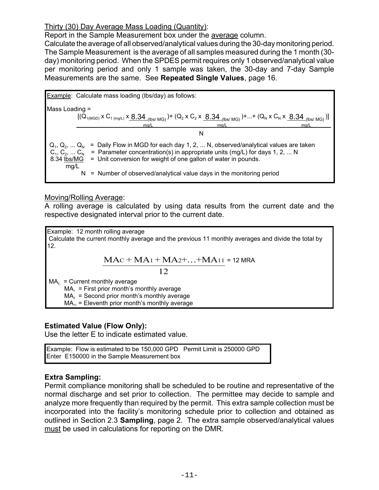#### Thirty (30) Day Average Mass Loading (Quantity):

Report in the Sample Measurement box under the average column.

Calculate the average of all observed/analytical values during the 30-day monitoring period. The Sample Measurement is the average of all samples measured during the 1 month (30 day) monitoring period. When the SPDES permit requires only 1 observed/analytical value per monitoring period and only 1 sample was taken, the 30-day and 7-day Sample Measurements are the same. See **Repeated Single Values**, page 16.

| Example:                                                                                                                                                                                                                                                                                                                                                        | Calculate mass loading (lbs/day) as follows:                                                                                                                                                                                                                                                                                                                                                      |
|-----------------------------------------------------------------------------------------------------------------------------------------------------------------------------------------------------------------------------------------------------------------------------------------------------------------------------------------------------------------|---------------------------------------------------------------------------------------------------------------------------------------------------------------------------------------------------------------------------------------------------------------------------------------------------------------------------------------------------------------------------------------------------|
| Mass loading =                                                                                                                                                                                                                                                                                                                                                  | \n $\frac{\left[(Q_{1(MGD)} \times C_{1(mg/L)} \times \underline{8.34}_{(lbs/MG)}\right)^+ (Q_2 \times C_2 \times \underline{8.34}_{(lbs/MG)})^+ \dots + (Q_N \times C_N \times \underline{8.34}_{(lbs/MG)})^+ \dots + (Q_N \times C_N \times \underline{8.34}_{(lbs/MG)})^+ \dots + (Q_N \times C_N \times \underline{8.34}_{(lbs/MG)})^+ \dots + (Q_N \times \underline{8.34}_{(lbs/MG)})^+$ \n |
| Q <sub>1</sub> , Q <sub>2</sub> , … Q <sub>N</sub> = Daily Flow in MGD for each day 1, 2, … N, observed/analytical values are taken\n $C_1, C_2, … C_N = \text{Parameter concentration(s) in appropriate units (mg/L) for days 1, 2, … N\n    8.34 \frac{\text{lbs/MG}}{\text{lbs/MG}} = \text{Unit conversion for weight of one gallon of water in pounds.}\n$ | N = Number of observed/analytical value days in the monitoring period                                                                                                                                                                                                                                                                                                                             |

#### Moving/Rolling Average:

A rolling average is calculated by using data results from the current date and the respective designated interval prior to the current date.

Example: 12 month rolling average Calculate the current monthly average and the previous 11 monthly averages and divide the total by 12.

$$
MAC + MA1 + MA2 + \ldots + MA11 = 12 \text{ MRA}
$$

12

 $MA_c$  = Current monthly average

 $MA<sub>1</sub>$  = First prior month's monthly average

 $MA<sub>2</sub>$  = Second prior month's monthly average

 $MA<sub>11</sub>$  = Eleventh prior month's monthly average

#### **Estimated Value (Flow Only):**

Use the letter E to indicate estimated value.

Example: Flow is estimated to be 150,000 GPD Permit Limit is 250000 GPD Enter E150000 in the Sample Measurement box

#### **Extra Sampling:**

Permit compliance monitoring shall be scheduled to be routine and representative of the normal discharge and set prior to collection. The permittee may decide to sample and analyze more frequently than required by the permit. This extra sample collection must be incorporated into the facility's monitoring schedule prior to collection and obtained as outlined in Section 2.3 **Sampling**, page 2. The extra sample observed/analytical values must be used in calculations for reporting on the DMR.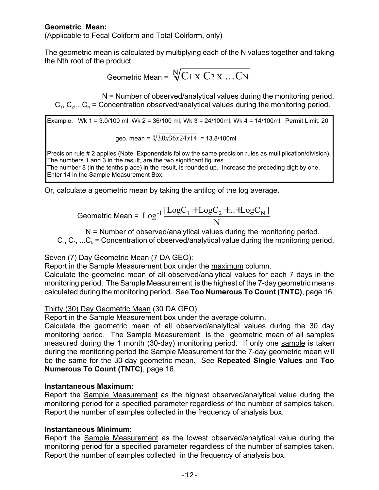#### **Geometric Mean:**

(Applicable to Fecal Coliform and Total Coliform, only)

The geometric mean is calculated by multiplying each of the N values together and taking the Nth root of the product.

Geometric Mean = 
$$
\sqrt[N]{C_1 \times C_2 \times ... C_N}
$$

 N = Number of observed/analytical values during the monitoring period.  $C_1, C_2,...C_N$  = Concentration observed/analytical values during the monitoring period.

Example: Wk 1 = 3.0/100 ml, Wk 2 = 36/100 ml, Wk 3 = 24/100ml, Wk 4 = 14/100ml, Permit Limit: 20  $\sqrt[4]{20.26 \cdot 24.14}$  = 13.8/100ml

$$
geo. mean = \sqrt[3]{3.0x36x24x14} = 13.8/100
$$

Precision rule # 2 applies (Note: Exponentials follow the same precision rules as multiplication/division). The numbers 1 and 3 in the result, are the two significant figures. The number 8 (in the tenths place) in the result, is rounded up. Increase the preceding digit by one.

Enter 14 in the Sample Measurement Box.

Or, calculate a geometric mean by taking the antilog of the log average.

$$
\text{Geometric Mean} = \text{Log}^{-1} \frac{[\text{LogC}_1 + \text{LogC}_2 + \dots + \text{LogC}_N]}{N}
$$

N = Number of observed/analytical values during the monitoring period.

 $C_1, C_2, ... C_N$  = Concentration of observed/analytical value during the monitoring period.

#### Seven (7) Day Geometric Mean (7 DA GEO):

Report in the Sample Measurement box under the maximum column.

Calculate the geometric mean of all observed/analytical values for each 7 days in the monitoring period. The Sample Measurement is the highest of the 7-day geometric means calculated during the monitoring period. See **Too Numerous To Count (TNTC)**, page 16.

#### Thirty (30) Day Geometric Mean (30 DA GEO):

Report in the Sample Measurement box under the average column.

Calculate the geometric mean of all observed/analytical values during the 30 day monitoring period. The Sample Measurement is the geometric mean of all samples measured during the 1 month (30-day) monitoring period. If only one sample is taken during the monitoring period the Sample Measurement for the 7-day geometric mean will be the same for the 30-day geometric mean. See **Repeated Single Values** and **Too Numerous To Count (TNTC)**, page 16.

#### **Instantaneous Maximum:**

Report the Sample Measurement as the highest observed/analytical value during the monitoring period for a specified parameter regardless of the number of samples taken. Report the number of samples collected in the frequency of analysis box.

#### **Instantaneous Minimum:**

Report the Sample Measurement as the lowest observed/analytical value during the monitoring period for a specified parameter regardless of the number of samples taken. Report the number of samples collected in the frequency of analysis box.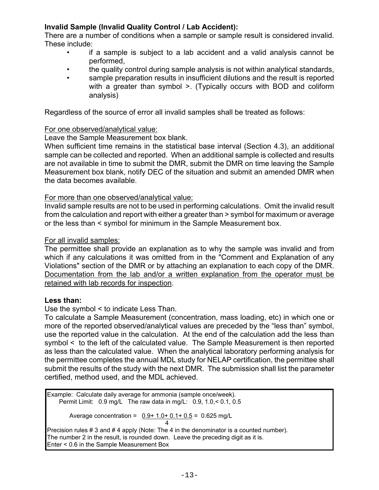#### **Invalid Sample (Invalid Quality Control / Lab Accident):**

There are a number of conditions when a sample or sample result is considered invalid. These include:

- if a sample is subject to a lab accident and a valid analysis cannot be performed,
- the quality control during sample analysis is not within analytical standards,
- sample preparation results in insufficient dilutions and the result is reported with a greater than symbol >. (Typically occurs with BOD and coliform analysis)

Regardless of the source of error all invalid samples shall be treated as follows:

#### For one observed/analytical value:

Leave the Sample Measurement box blank.

When sufficient time remains in the statistical base interval (Section 4.3), an additional sample can be collected and reported. When an additional sample is collected and results are not available in time to submit the DMR, submit the DMR on time leaving the Sample Measurement box blank, notify DEC of the situation and submit an amended DMR when the data becomes available.

#### For more than one observed/analytical value:

Invalid sample results are not to be used in performing calculations. Omit the invalid result from the calculation and report with either a greater than > symbol for maximum or average or the less than < symbol for minimum in the Sample Measurement box.

#### For all invalid samples:

The permittee shall provide an explanation as to why the sample was invalid and from which if any calculations it was omitted from in the "Comment and Explanation of any Violations" section of the DMR or by attaching an explanation to each copy of the DMR. Documentation from the lab and/or a written explanation from the operator must be retained with lab records for inspection.

#### **Less than:**

Use the symbol < to indicate Less Than.

To calculate a Sample Measurement (concentration, mass loading, etc) in which one or more of the reported observed/analytical values are preceded by the "less than" symbol, use the reported value in the calculation. At the end of the calculation add the less than symbol < to the left of the calculated value. The Sample Measurement is then reported as less than the calculated value. When the analytical laboratory performing analysis for the permittee completes the annual MDL study for NELAP certification, the permittee shall submit the results of the study with the next DMR. The submission shall list the parameter certified, method used, and the MDL achieved.

Example: Calculate daily average for ammonia (sample once/week). Permit Limit: 0.9 mg/L The raw data in mg/L: 0.9, 1.0,< 0.1, 0.5

Average concentration =  $0.9 + 1.0 + 0.1 + 0.5 = 0.625$  mg/L 4

Precision rules # 3 and # 4 apply (Note: The 4 in the denominator is a counted number). The number 2 in the result, is rounded down. Leave the preceding digit as it is. Enter < 0.6 in the Sample Measurement Box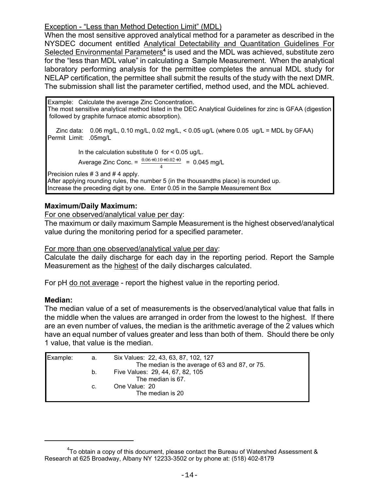#### Exception - "Less than Method Detection Limit" (MDL)

When the most sensitive approved analytical method for a parameter as described in the NYSDEC document entitled Analytical Detectability and Quantitation Guidelines For Selected Environmental Parameters<sup>4</sup> is used and the MDL was achieved, substitute zero for the "less than MDL value" in calculating a Sample Measurement. When the analytical laboratory performing analysis for the permittee completes the annual MDL study for NELAP certification, the permittee shall submit the results of the study with the next DMR. The submission shall list the parameter certified, method used, and the MDL achieved.

Example: Calculate the average Zinc Concentration. The most sensitive analytical method listed in the DEC Analytical Guidelines for zinc is GFAA (digestion followed by graphite furnace atomic absorption).

Zinc data:  $0.06 \text{ mg/L}, 0.10 \text{ mg/L}, 0.02 \text{ mg/L} < 0.05 \text{ ug/L}$  (where  $0.05 \text{ ug/L} = \text{MDL}$  by GFAA) Permit Limit: .05mg/L

In the calculation substitute  $0$  for  $\leq 0.05$  ug/L. Average Zinc Conc. =  $\frac{0.06+0.10+0.02+0}{1}$  = 0.045 mg/L  $\overline{A}$ 

Precision rules # 3 and # 4 apply. After applying rounding rules, the number 5 (in the thousandths place) is rounded up. Increase the preceding digit by one. Enter 0.05 in the Sample Measurement Box

#### **Maximum/Daily Maximum:**

For one observed/analytical value per day:

The maximum or daily maximum Sample Measurement is the highest observed/analytical value during the monitoring period for a specified parameter.

For more than one observed/analytical value per day:

Calculate the daily discharge for each day in the reporting period. Report the Sample Measurement as the highest of the daily discharges calculated.

For pH do not average - report the highest value in the reporting period.

#### **Median:**

The median value of a set of measurements is the observed/analytical value that falls in the middle when the values are arranged in order from the lowest to the highest. If there are an even number of values, the median is the arithmetic average of the 2 values which have an equal number of values greater and less than both of them. Should there be only 1 value, that value is the median.

| Example: | а. | Six Values: 22, 43, 63, 87, 102, 127           |
|----------|----|------------------------------------------------|
|          |    | The median is the average of 63 and 87, or 75. |
|          | b. | Five Values: 29, 44, 67, 82, 105               |
|          |    | The median is 67.                              |
|          | C. | One Value: 20                                  |
|          |    | The median is 20                               |
|          |    |                                                |

 $4$ To obtain a copy of this document, please contact the Bureau of Watershed Assessment & Research at 625 Broadway, Albany NY 12233-3502 or by phone at: (518) 402-8179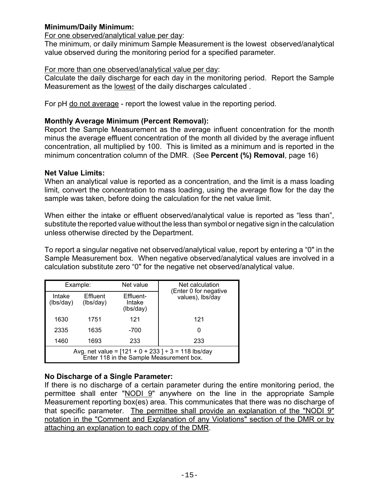#### **Minimum/Daily Minimum:**

#### For one observed/analytical value per day:

The minimum, or daily minimum Sample Measurement is the lowest observed/analytical value observed during the monitoring period for a specified parameter.

#### For more than one observed/analytical value per day:

Calculate the daily discharge for each day in the monitoring period. Report the Sample Measurement as the lowest of the daily discharges calculated .

For pH do not average - report the lowest value in the reporting period.

#### **Monthly Average Minimum (Percent Removal):**

Report the Sample Measurement as the average influent concentration for the month minus the average effluent concentration of the month all divided by the average influent concentration, all multiplied by 100. This is limited as a minimum and is reported in the minimum concentration column of the DMR. (See **Percent (%) Removal**, page 16)

#### **Net Value Limits:**

When an analytical value is reported as a concentration, and the limit is a mass loading limit, convert the concentration to mass loading, using the average flow for the day the sample was taken, before doing the calculation for the net value limit.

When either the intake or effluent observed/analytical value is reported as "less than", substitute the reported value without the less than symbol or negative sign in the calculation unless otherwise directed by the Department.

To report a singular negative net observed/analytical value, report by entering a "0" in the Sample Measurement box. When negative observed/analytical values are involved in a calculation substitute zero "0" for the negative net observed/analytical value.

| Example:                                                                                            |                       | Net value                        | Net calculation<br>(Enter 0 for negative |  |
|-----------------------------------------------------------------------------------------------------|-----------------------|----------------------------------|------------------------------------------|--|
| Intake<br>(lbs/day)                                                                                 | Effluent<br>(lbs/day) | Effluent-<br>Intake<br>(lbs/day) | values), lbs/day                         |  |
| 1630                                                                                                | 1751                  | 121                              | 121                                      |  |
| 2335                                                                                                | 1635                  | -700                             | 0                                        |  |
| 1460                                                                                                | 1693                  | 233                              | 233                                      |  |
| Avg. net value = $[121 + 0 + 233] \div 3 = 118$ lbs/day<br>Enter 118 in the Sample Measurement box. |                       |                                  |                                          |  |

#### **No Discharge of a Single Parameter:**

If there is no discharge of a certain parameter during the entire monitoring period, the permittee shall enter "NODI 9" anywhere on the line in the appropriate Sample Measurement reporting box(es) area. This communicates that there was no discharge of that specific parameter. The permittee shall provide an explanation of the "NODI 9" notation in the "Comment and Explanation of any Violations" section of the DMR or by attaching an explanation to each copy of the DMR.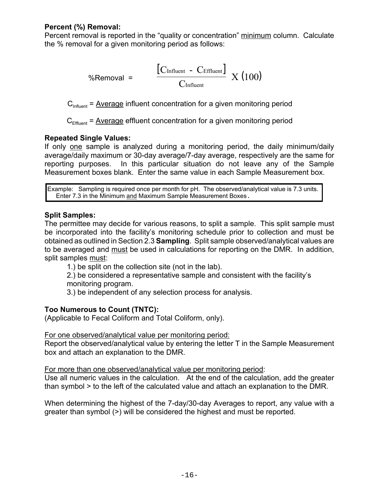#### **Percent (%) Removal:**

Percent removal is reported in the "quality or concentration" minimum column. Calculate the % removal for a given monitoring period as follows:

$$
\%Removal = \left( \frac{\left[ C_{\text{Influent}} - C_{\text{Effluent}} \right]}{C_{\text{Influent}}} \right) X (100)
$$

 $C<sub>influent</sub>$  = Average influent concentration for a given monitoring period

 $C_{\text{Effluent}}$  = Average effluent concentration for a given monitoring period

#### **Repeated Single Values:**

If only one sample is analyzed during a monitoring period, the daily minimum/daily average/daily maximum or 30-day average/7-day average, respectively are the same for reporting purposes. In this particular situation do not leave any of the Sample Measurement boxes blank. Enter the same value in each Sample Measurement box.

Example: Sampling is required once per month for pH. The observed/analytical value is 7.3 units. Enter 7.3 in the Minimum and Maximum Sample Measurement Boxes.

#### **Split Samples:**

The permittee may decide for various reasons, to split a sample. This split sample must be incorporated into the facility's monitoring schedule prior to collection and must be obtained as outlined in Section 2.3 **Sampling**. Split sample observed/analytical values are to be averaged and must be used in calculations for reporting on the DMR. In addition, split samples must:

1.) be split on the collection site (not in the lab).

2.) be considered a representative sample and consistent with the facility's monitoring program.

3.) be independent of any selection process for analysis.

#### **Too Numerous to Count (TNTC):**

(Applicable to Fecal Coliform and Total Coliform, only).

#### For one observed/analytical value per monitoring period:

Report the observed/analytical value by entering the letter T in the Sample Measurement box and attach an explanation to the DMR.

For more than one observed/analytical value per monitoring period:

Use all numeric values in the calculation. At the end of the calculation, add the greater than symbol > to the left of the calculated value and attach an explanation to the DMR.

When determining the highest of the 7-day/30-day Averages to report, any value with a greater than symbol (>) will be considered the highest and must be reported.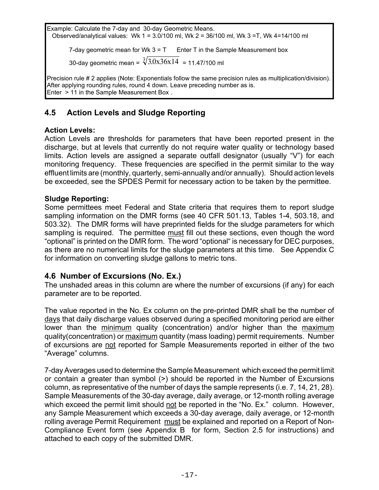<span id="page-21-0"></span>Example: Calculate the 7-day and 30-day Geometric Means. Observed/analytical values: Wk 1 = 3.0/100 ml, Wk 2 = 36/100 ml, Wk 3 =T, Wk 4=14/100 ml 7-day geometric mean for Wk  $3 = T$  Enter T in the Sample Measurement box

30-day geometric mean =  $\sqrt[3]{3.0x36x14}$  = 11.47/100 ml

Precision rule # 2 applies (Note: Exponentials follow the same precision rules as multiplication/division). After applying rounding rules, round 4 down. Leave preceding number as is. Enter > 11 in the Sample Measurement Box .

## **4.5 Action Levels and Sludge Reporting**

#### **Action Levels:**

Action Levels are thresholds for parameters that have been reported present in the discharge, but at levels that currently do not require water quality or technology based limits. Action levels are assigned a separate outfall designator (usually "V") for each monitoring frequency. These frequencies are specified in the permit similar to the way effluent limits are (monthly, quarterly, semi-annually and/or annually). Should action levels be exceeded, see the SPDES Permit for necessary action to be taken by the permittee.

#### **Sludge Reporting:**

Some permittees meet Federal and State criteria that requires them to report sludge sampling information on the DMR forms (see 40 CFR 501.13, Tables 1-4, 503.18, and 503.32). The DMR forms will have preprinted fields for the sludge parameters for which sampling is required. The permittee must fill out these sections, even though the word "optional" is printed on the DMR form. The word "optional" is necessary for DEC purposes, as there are no numerical limits for the sludge parameters at this time. See Appendix C for information on converting sludge gallons to metric tons.

#### **4.6 Number of Excursions (No. Ex.)**

The unshaded areas in this column are where the number of excursions (if any) for each parameter are to be reported.

The value reported in the No. Ex column on the pre-printed DMR shall be the number of days that daily discharge values observed during a specified monitoring period are either lower than the minimum quality (concentration) and/or higher than the maximum quality(concentration) or maximum quantity (mass loading) permit requirements. Number of excursions are not reported for Sample Measurements reported in either of the two "Average" columns.

7-day Averages used to determine the Sample Measurement which exceed the permit limit or contain a greater than symbol (>) should be reported in the Number of Excursions column, as representative of the number of days the sample represents (i.e. 7, 14, 21, 28). Sample Measurements of the 30-day average, daily average, or 12-month rolling average which exceed the permit limit should not be reported in the "No. Ex." column. However, any Sample Measurement which exceeds a 30-day average, daily average, or 12-month rolling average Permit Requirement must be explained and reported on a Report of Non-Compliance Event form (see Appendix B for form, Section 2.5 for instructions) and attached to each copy of the submitted DMR.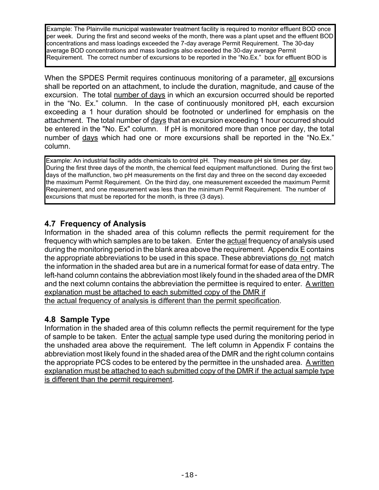<span id="page-22-0"></span>Example: The Plainville municipal wastewater treatment facility is required to monitor effluent BOD once per week. During the first and second weeks of the month, there was a plant upset and the effluent BOD concentrations and mass loadings exceeded the 7-day average Permit Requirement. The 30-day average BOD concentrations and mass loadings also exceeded the 30-day average Permit Requirement. The correct number of excursions to be reported in the "No.Ex." box for effluent BOD is

When the SPDES Permit requires continuous monitoring of a parameter, all excursions shall be reported on an attachment, to include the duration, magnitude, and cause of the excursion. The total number of days in which an excursion occurred should be reported in the "No. Ex." column. In the case of continuously monitored pH, each excursion exceeding a 1 hour duration should be footnoted or underlined for emphasis on the attachment. The total number of days that an excursion exceeding 1 hour occurred should be entered in the "No. Ex" column. If pH is monitored more than once per day, the total number of days which had one or more excursions shall be reported in the "No.Ex." column.

Example: An industrial facility adds chemicals to control pH. They measure pH six times per day. During the first three days of the month, the chemical feed equipment malfunctioned. During the first two days of the malfunction, two pH measurements on the first day and three on the second day exceeded the maximum Permit Requirement. On the third day, one measurement exceeded the maximum Permit Requirement, and one measurement was less than the minimum Permit Requirement. The number of excursions that must be reported for the month, is three (3 days).

## **4.7 Frequency of Analysis**

Information in the shaded area of this column reflects the permit requirement for the frequency with which samples are to be taken. Enter the actual frequency of analysis used during the monitoring period in the blank area above the requirement. Appendix E contains the appropriate abbreviations to be used in this space. These abbreviations do not match the information in the shaded area but are in a numerical format for ease of data entry. The left-hand column contains the abbreviation most likely found in the shaded area of the DMR and the next column contains the abbreviation the permittee is required to enter. A written explanation must be attached to each submitted copy of the DMR if the actual frequency of analysis is different than the permit specification.

## **4.8 Sample Type**

Information in the shaded area of this column reflects the permit requirement for the type of sample to be taken. Enter the actual sample type used during the monitoring period in the unshaded area above the requirement. The left column in Appendix F contains the abbreviation most likely found in the shaded area of the DMR and the right column contains the appropriate PCS codes to be entered by the permittee in the unshaded area. A written explanation must be attached to each submitted copy of the DMR if the actual sample type is different than the permit requirement.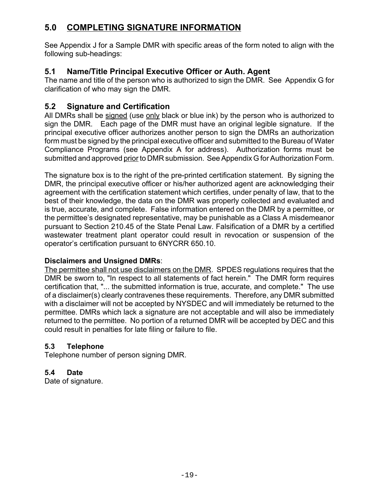## <span id="page-23-0"></span>**5.0 COMPLETING SIGNATURE INFORMATION**

See Appendix J for a Sample DMR with specific areas of the form noted to align with the following sub-headings:

## **5.1 Name/Title Principal Executive Officer or Auth. Agent**

The name and title of the person who is authorized to sign the DMR. See Appendix G for clarification of who may sign the DMR.

## **5.2 Signature and Certification**

All DMRs shall be signed (use only black or blue ink) by the person who is authorized to sign the DMR. Each page of the DMR must have an original legible signature. If the principal executive officer authorizes another person to sign the DMRs an authorization form must be signed by the principal executive officer and submitted to the Bureau of Water Compliance Programs (see Appendix A for address). Authorization forms must be submitted and approved prior to DMR submission. See Appendix G for Authorization Form.

The signature box is to the right of the pre-printed certification statement. By signing the DMR, the principal executive officer or his/her authorized agent are acknowledging their agreement with the certification statement which certifies, under penalty of law, that to the best of their knowledge, the data on the DMR was properly collected and evaluated and is true, accurate, and complete. False information entered on the DMR by a permittee, or the permittee's designated representative, may be punishable as a Class A misdemeanor pursuant to Section 210.45 of the State Penal Law. Falsification of a DMR by a certified wastewater treatment plant operator could result in revocation or suspension of the operator's certification pursuant to 6NYCRR 650.10.

#### **Disclaimers and Unsigned DMRs**:

The permittee shall not use disclaimers on the DMR. SPDES regulations requires that the DMR be sworn to, "In respect to all statements of fact herein." The DMR form requires certification that, "... the submitted information is true, accurate, and complete." The use of a disclaimer(s) clearly contravenes these requirements. Therefore, any DMR submitted with a disclaimer will not be accepted by NYSDEC and will immediately be returned to the permittee. DMRs which lack a signature are not acceptable and will also be immediately returned to the permittee. No portion of a returned DMR will be accepted by DEC and this could result in penalties for late filing or failure to file.

#### **5.3 Telephone**

Telephone number of person signing DMR.

#### **5.4 Date**

Date of signature.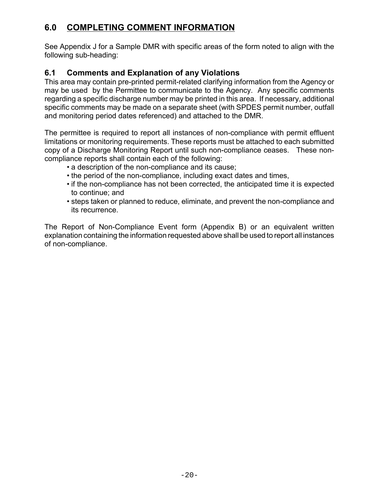## <span id="page-24-0"></span>**6.0 COMPLETING COMMENT INFORMATION**

See Appendix J for a Sample DMR with specific areas of the form noted to align with the following sub-heading:

## **6.1 Comments and Explanation of any Violations**

This area may contain pre-printed permit-related clarifying information from the Agency or may be used by the Permittee to communicate to the Agency. Any specific comments regarding a specific discharge number may be printed in this area. If necessary, additional specific comments may be made on a separate sheet (with SPDES permit number, outfall and monitoring period dates referenced) and attached to the DMR.

The permittee is required to report all instances of non-compliance with permit effluent limitations or monitoring requirements. These reports must be attached to each submitted copy of a Discharge Monitoring Report until such non-compliance ceases. These noncompliance reports shall contain each of the following:

- a description of the non-compliance and its cause;
- the period of the non-compliance, including exact dates and times,
- if the non-compliance has not been corrected, the anticipated time it is expected to continue; and
- steps taken or planned to reduce, eliminate, and prevent the non-compliance and its recurrence.

The Report of Non-Compliance Event form (Appendix B) or an equivalent written explanation containing the information requested above shall be used to report all instances of non-compliance.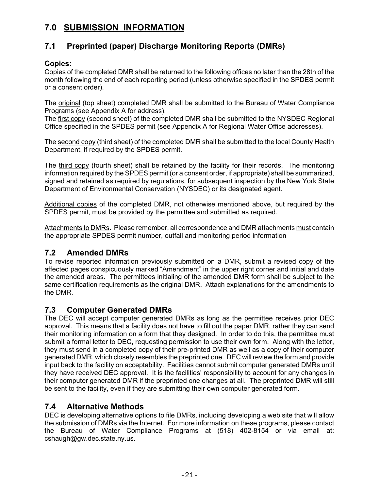## <span id="page-25-0"></span>**7.0 SUBMISSION INFORMATION**

## **7.1 Preprinted (paper) Discharge Monitoring Reports (DMRs)**

#### **Copies:**

Copies of the completed DMR shall be returned to the following offices no later than the 28th of the month following the end of each reporting period (unless otherwise specified in the SPDES permit or a consent order).

The original (top sheet) completed DMR shall be submitted to the Bureau of Water Compliance Programs (see Appendix A for address).

The first copy (second sheet) of the completed DMR shall be submitted to the NYSDEC Regional Office specified in the SPDES permit (see Appendix A for Regional Water Office addresses).

The second copy (third sheet) of the completed DMR shall be submitted to the local County Health Department, if required by the SPDES permit.

The third copy (fourth sheet) shall be retained by the facility for their records. The monitoring information required by the SPDES permit (or a consent order, if appropriate) shall be summarized, signed and retained as required by regulations, for subsequent inspection by the New York State Department of Environmental Conservation (NYSDEC) or its designated agent.

Additional copies of the completed DMR, not otherwise mentioned above, but required by the SPDES permit, must be provided by the permittee and submitted as required.

Attachments to DMRs. Please remember, all correspondence and DMR attachments must contain the appropriate SPDES permit number, outfall and monitoring period information

#### **7.2 Amended DMRs**

To revise reported information previously submitted on a DMR, submit a revised copy of the affected pages conspicuously marked "Amendment" in the upper right corner and initial and date the amended areas. The permittees initialing of the amended DMR form shall be subject to the same certification requirements as the original DMR. Attach explanations for the amendments to the DMR.

#### **7.3 Computer Generated DMRs**

The DEC will accept computer generated DMRs as long as the permittee receives prior DEC approval. This means that a facility does not have to fill out the paper DMR, rather they can send their monitoring information on a form that they designed. In order to do this, the permittee must submit a formal letter to DEC, requesting permission to use their own form. Along with the letter, they must send in a completed copy of their pre-printed DMR as well as a copy of their computer generated DMR, which closely resembles the preprinted one. DEC will review the form and provide input back to the facility on acceptability. Facilities cannot submit computer generated DMRs until they have received DEC approval. It is the facilities' responsibility to account for any changes in their computer generated DMR if the preprinted one changes at all. The preprinted DMR will still be sent to the facility, even if they are submitting their own computer generated form.

#### **7.4 Alternative Methods**

DEC is developing alternative options to file DMRs, including developing a web site that will allow the submission of DMRs via the Internet. For more information on these programs, please contact the Bureau of Water Compliance Programs at (518) 402-8154 or via email at: cshaugh@gw.dec.state.ny.us.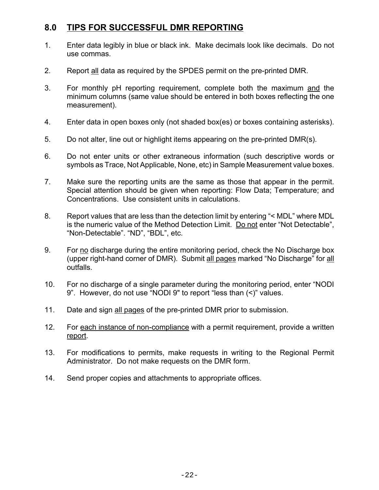## <span id="page-26-0"></span>**8.0 TIPS FOR SUCCESSFUL DMR REPORTING**

- 1. Enter data legibly in blue or black ink. Make decimals look like decimals. Do not use commas.
- 2. Report all data as required by the SPDES permit on the pre-printed DMR.
- 3. For monthly pH reporting requirement, complete both the maximum and the minimum columns (same value should be entered in both boxes reflecting the one measurement).
- 4. Enter data in open boxes only (not shaded box(es) or boxes containing asterisks).
- 5. Do not alter, line out or highlight items appearing on the pre-printed DMR(s).
- 6. Do not enter units or other extraneous information (such descriptive words or symbols as Trace, Not Applicable, None, etc) in Sample Measurement value boxes.
- 7. Make sure the reporting units are the same as those that appear in the permit. Special attention should be given when reporting: Flow Data; Temperature; and Concentrations. Use consistent units in calculations.
- 8. Report values that are less than the detection limit by entering "< MDL" where MDL is the numeric value of the Method Detection Limit. Do not enter "Not Detectable", "Non-Detectable". "ND", "BDL", etc.
- 9. For no discharge during the entire monitoring period, check the No Discharge box (upper right-hand corner of DMR). Submit all pages marked "No Discharge" for all outfalls.
- 10. For no discharge of a single parameter during the monitoring period, enter "NODI 9". However, do not use "NODI 9" to report "less than (<)" values.
- 11. Date and sign all pages of the pre-printed DMR prior to submission.
- 12. For each instance of non-compliance with a permit requirement, provide a written report.
- 13. For modifications to permits, make requests in writing to the Regional Permit Administrator. Do not make requests on the DMR form.
- 14. Send proper copies and attachments to appropriate offices.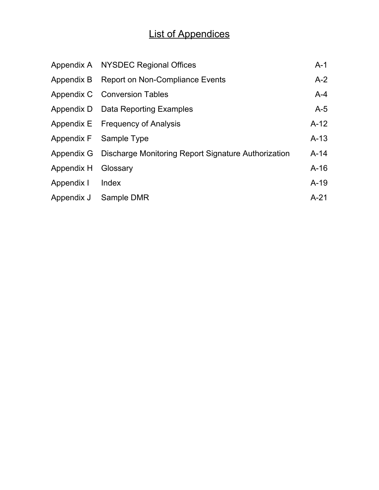## List of Appendices

|                     | Appendix A NYSDEC Regional Offices                             | $A-1$  |
|---------------------|----------------------------------------------------------------|--------|
|                     | Appendix B Report on Non-Compliance Events                     | $A-2$  |
|                     | Appendix C Conversion Tables                                   | $A-4$  |
|                     | Appendix D Data Reporting Examples                             | $A-5$  |
|                     | Appendix E Frequency of Analysis                               | $A-12$ |
|                     | Appendix F Sample Type                                         | $A-13$ |
|                     | Appendix G Discharge Monitoring Report Signature Authorization | $A-14$ |
| Appendix H Glossary |                                                                | $A-16$ |
| Appendix I Index    |                                                                | $A-19$ |
|                     | Appendix J Sample DMR                                          | $A-21$ |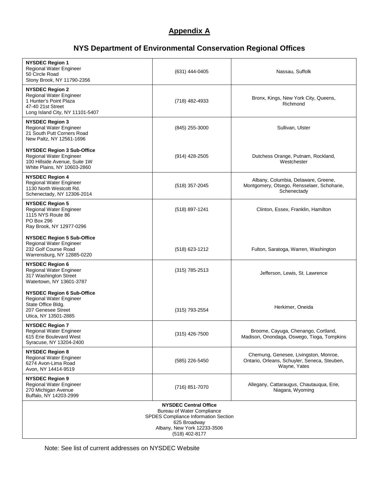#### **Appendix A**

## **NYS Department of Environmental Conservation Regional Offices**

<span id="page-28-0"></span>

| <b>NYSDEC Region 1</b><br>Regional Water Engineer<br>50 Circle Road<br>Stony Brook, NY 11790-2356                                   | $(631)$ 444-0405                                                                                                                                                           | Nassau, Suffolk                                                                                       |
|-------------------------------------------------------------------------------------------------------------------------------------|----------------------------------------------------------------------------------------------------------------------------------------------------------------------------|-------------------------------------------------------------------------------------------------------|
| <b>NYSDEC Region 2</b><br>Regional Water Engineer<br>1 Hunter's Point Plaza<br>47-40 21st Street<br>Long Island City, NY 11101-5407 | (718) 482-4933                                                                                                                                                             | Bronx, Kings, New York City, Queens,<br>Richmond                                                      |
| <b>NYSDEC Region 3</b><br>Regional Water Engineer<br>21 South Putt Corners Road<br>New Paltz, NY 12561-1696                         | $(845)$ 255-3000                                                                                                                                                           | Sullivan, Ulster                                                                                      |
| <b>NYSDEC Region 3 Sub-Office</b><br>Regional Water Engineer<br>100 Hillside Avenue, Suite 1W<br>White Plains, NY 10603-2860        | $(914)$ 428-2505                                                                                                                                                           | Dutchess Orange, Putnam, Rockland,<br>Westchester                                                     |
| <b>NYSDEC Region 4</b><br>Regional Water Engineer<br>1130 North Westcott Rd.<br>Schenectady, NY 12306-2014                          | $(518)$ 357-2045                                                                                                                                                           | Albany, Columbia, Delaware, Greene,<br>Montgomery, Otsego, Rensselaer, Schoharie,<br>Schenectady      |
| <b>NYSDEC Region 5</b><br>Regional Water Engineer<br>1115 NYS Route 86<br><b>PO Box 296</b><br>Ray Brook, NY 12977-0296             | (518) 897-1241                                                                                                                                                             | Clinton, Essex, Franklin, Hamilton                                                                    |
| <b>NYSDEC Region 5 Sub-Office</b><br>Regional Water Engineer<br>232 Golf Course Road<br>Warrensburg, NY 12885-0220                  | (518) 623-1212                                                                                                                                                             | Fulton, Saratoga, Warren, Washington                                                                  |
| <b>NYSDEC Region 6</b><br>Regional Water Engineer<br>317 Washington Street<br>Watertown, NY 13601-3787                              | $(315)$ 785-2513                                                                                                                                                           | Jefferson, Lewis, St. Lawrence                                                                        |
| <b>NYSDEC Region 6 Sub-Office</b><br>Regional Water Engineer<br>State Office Bldg.<br>207 Genesee Street<br>Utica, NY 13501-2885    | (315) 793-2554                                                                                                                                                             | Herkimer, Oneida                                                                                      |
| <b>NYSDEC Region 7</b><br>Regional Water Engineer<br>615 Erie Boulevard West<br>Syracuse, NY 13204-2400                             | (315) 426-7500                                                                                                                                                             | Broome, Cayuga, Chenango, Cortland,<br>Madison, Onondaga, Oswego, Tioga, Tompkins                     |
| <b>NYSDEC Region 8</b><br>Regional Water Engineer<br>6274 Avon-Lima Road<br>Avon, NY 14414-9519                                     | (585) 226-5450                                                                                                                                                             | Chemung, Genesee, Livingston, Monroe,<br>Ontario, Orleans, Schuyler, Seneca, Steuben,<br>Wayne, Yates |
| <b>NYSDEC Region 9</b><br>Regional Water Engineer<br>270 Michigan Avenue<br>Buffalo, NY 14203-2999                                  | (716) 851-7070                                                                                                                                                             | Allegany, Cattaraugus, Chautauqua, Erie,<br>Niagara, Wyoming                                          |
|                                                                                                                                     | <b>NYSDEC Central Office</b><br><b>Bureau of Water Compliance</b><br>SPDES Compliance Information Section<br>625 Broadway<br>Albany, New York 12233-3506<br>(518) 402-8177 |                                                                                                       |

Note: See list of current addresses on NYSDEC Website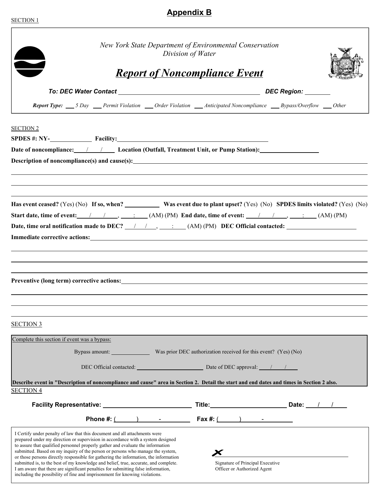#### <span id="page-29-0"></span>SECTION 1

 $\Gamma$ 

## **Appendix B**

| New York State Department of Environmental Conservation<br>Division of Water                                                                                                                                                                                                                                                                                                                                                                                                                                                                                                                           |  |  |                      |                                                                                                                                                                                                                                |  |  |  |
|--------------------------------------------------------------------------------------------------------------------------------------------------------------------------------------------------------------------------------------------------------------------------------------------------------------------------------------------------------------------------------------------------------------------------------------------------------------------------------------------------------------------------------------------------------------------------------------------------------|--|--|----------------------|--------------------------------------------------------------------------------------------------------------------------------------------------------------------------------------------------------------------------------|--|--|--|
|                                                                                                                                                                                                                                                                                                                                                                                                                                                                                                                                                                                                        |  |  |                      | <b>Report of Noncompliance Event</b>                                                                                                                                                                                           |  |  |  |
|                                                                                                                                                                                                                                                                                                                                                                                                                                                                                                                                                                                                        |  |  |                      |                                                                                                                                                                                                                                |  |  |  |
|                                                                                                                                                                                                                                                                                                                                                                                                                                                                                                                                                                                                        |  |  |                      | Report Type: 5 Day Permit Violation __ Order Violation __ Anticipated Noncompliance __ Bypass/Overflow __ Other                                                                                                                |  |  |  |
| <b>SECTION 2</b>                                                                                                                                                                                                                                                                                                                                                                                                                                                                                                                                                                                       |  |  |                      |                                                                                                                                                                                                                                |  |  |  |
|                                                                                                                                                                                                                                                                                                                                                                                                                                                                                                                                                                                                        |  |  |                      | $SPDES #: NY-$ Facility:                                                                                                                                                                                                       |  |  |  |
|                                                                                                                                                                                                                                                                                                                                                                                                                                                                                                                                                                                                        |  |  |                      | Date of noncompliance: 1 1 Location (Outfall, Treatment Unit, or Pump Station):                                                                                                                                                |  |  |  |
|                                                                                                                                                                                                                                                                                                                                                                                                                                                                                                                                                                                                        |  |  |                      |                                                                                                                                                                                                                                |  |  |  |
|                                                                                                                                                                                                                                                                                                                                                                                                                                                                                                                                                                                                        |  |  |                      |                                                                                                                                                                                                                                |  |  |  |
|                                                                                                                                                                                                                                                                                                                                                                                                                                                                                                                                                                                                        |  |  |                      |                                                                                                                                                                                                                                |  |  |  |
|                                                                                                                                                                                                                                                                                                                                                                                                                                                                                                                                                                                                        |  |  |                      | Has event ceased? (Yes) (No) If so, when? Was event due to plant upset? (Yes) (No) SPDES limits violated? (Yes) (No)                                                                                                           |  |  |  |
|                                                                                                                                                                                                                                                                                                                                                                                                                                                                                                                                                                                                        |  |  |                      |                                                                                                                                                                                                                                |  |  |  |
|                                                                                                                                                                                                                                                                                                                                                                                                                                                                                                                                                                                                        |  |  |                      | Date, time oral notification made to DEC? 1 1, Theory (AM) (PM) DEC Official contacted:                                                                                                                                        |  |  |  |
|                                                                                                                                                                                                                                                                                                                                                                                                                                                                                                                                                                                                        |  |  |                      | Immediate corrective actions: Universe and Security and Security and Security and Security and Security and Security and Security and Security and Security and Security and Security and Security and Security and Security a |  |  |  |
|                                                                                                                                                                                                                                                                                                                                                                                                                                                                                                                                                                                                        |  |  |                      |                                                                                                                                                                                                                                |  |  |  |
|                                                                                                                                                                                                                                                                                                                                                                                                                                                                                                                                                                                                        |  |  |                      | ,我们也不会有什么。""我们的人,我们也不会有什么?""我们的人,我们也不会有什么?""我们的人,我们也不会有什么?""我们的人,我们也不会有什么?""我们的人                                                                                                                                               |  |  |  |
|                                                                                                                                                                                                                                                                                                                                                                                                                                                                                                                                                                                                        |  |  |                      |                                                                                                                                                                                                                                |  |  |  |
|                                                                                                                                                                                                                                                                                                                                                                                                                                                                                                                                                                                                        |  |  |                      |                                                                                                                                                                                                                                |  |  |  |
|                                                                                                                                                                                                                                                                                                                                                                                                                                                                                                                                                                                                        |  |  |                      |                                                                                                                                                                                                                                |  |  |  |
|                                                                                                                                                                                                                                                                                                                                                                                                                                                                                                                                                                                                        |  |  |                      |                                                                                                                                                                                                                                |  |  |  |
| <b>SECTION 3</b>                                                                                                                                                                                                                                                                                                                                                                                                                                                                                                                                                                                       |  |  |                      |                                                                                                                                                                                                                                |  |  |  |
|                                                                                                                                                                                                                                                                                                                                                                                                                                                                                                                                                                                                        |  |  |                      |                                                                                                                                                                                                                                |  |  |  |
| Complete this section if event was a bypass:                                                                                                                                                                                                                                                                                                                                                                                                                                                                                                                                                           |  |  |                      |                                                                                                                                                                                                                                |  |  |  |
|                                                                                                                                                                                                                                                                                                                                                                                                                                                                                                                                                                                                        |  |  |                      | Bypass amount: Was prior DEC authorization received for this event? (Yes) (No)                                                                                                                                                 |  |  |  |
|                                                                                                                                                                                                                                                                                                                                                                                                                                                                                                                                                                                                        |  |  |                      | DEC Official contacted: DEC approval: 1                                                                                                                                                                                        |  |  |  |
|                                                                                                                                                                                                                                                                                                                                                                                                                                                                                                                                                                                                        |  |  |                      | Describe event in "Description of noncompliance and cause" area in Section 2. Detail the start and end dates and times in Section 2 also.                                                                                      |  |  |  |
| <b>SECTION 4</b>                                                                                                                                                                                                                                                                                                                                                                                                                                                                                                                                                                                       |  |  |                      |                                                                                                                                                                                                                                |  |  |  |
|                                                                                                                                                                                                                                                                                                                                                                                                                                                                                                                                                                                                        |  |  |                      | Title: Date: 1 / 1                                                                                                                                                                                                             |  |  |  |
|                                                                                                                                                                                                                                                                                                                                                                                                                                                                                                                                                                                                        |  |  | Phone #: $($ $)$ $-$ | $\textsf{Fax} \#:\underline{\hspace{1cm}} \qquad \qquad \underline{\hspace{1cm}} \qquad \qquad \underline{\hspace{1cm}}$                                                                                                       |  |  |  |
| I Certify under penalty of law that this document and all attachments were<br>prepared under my direction or supervision in accordance with a system designed<br>to assure that qualified personnel properly gather and evaluate the information<br>submitted. Based on my inquiry of the person or persons who manage the system,<br>or those persons directly responsible for gathering the information, the information<br>submitted is, to the best of my knowledge and belief, true, accurate, and complete.<br>I am aware that there are significant penalties for submitting false information, |  |  |                      | Signature of Principal Executive<br>Officer or Authorized Agent                                                                                                                                                                |  |  |  |
| including the possibility of fine and imprisonment for knowing violations.                                                                                                                                                                                                                                                                                                                                                                                                                                                                                                                             |  |  |                      |                                                                                                                                                                                                                                |  |  |  |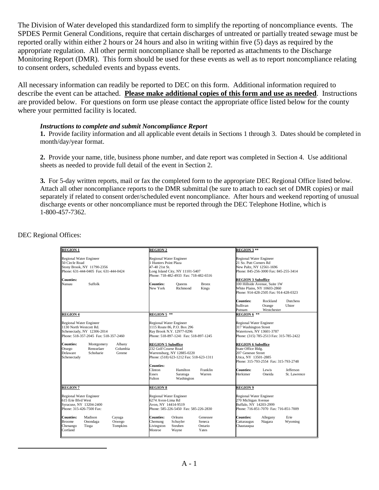The Division of Water developed this standardized form to simplify the reporting of noncompliance events. The SPDES Permit General Conditions, require that certain discharges of untreated or partially treated sewage must be reported orally within either 2 hours or 24 hours and also in writing within five (5) days as required by the appropriate regulation. All other permit noncompliance shall be reported as attachments to the Discharge Monitoring Report (DMR). This form should be used for these events as well as to report noncompliance relating to consent orders, scheduled events and bypass events.

All necessary information can readily be reported to DEC on this form. Additional information required to describe the event can be attached. **Please make additional copies of this form and use as needed**. Instructions are provided below. For questions on form use please contact the appropriate office listed below for the county where your permitted facility is located.

#### *Instructions to complete and submit Noncompliance Report*

**1.** Provide facility information and all applicable event details in Sections 1 through 3. Dates should be completed in month/day/year format.

**2.** Provide your name, title, business phone number, and date report was completed in Section 4. Use additional sheets as needed to provide full detail of the event in Section 2.

**3.** For 5-day written reports, mail or fax the completed form to the appropriate DEC Regional Office listed below. Attach all other noncompliance reports to the DMR submittal (be sure to attach to each set of DMR copies) or mail separately if related to consent order/scheduled event noncompliance. After hours and weekend reporting of unusual discharge events or other noncompliance must be reported through the DEC Telephone Hotline, which is 1-800-457-7362.

DEC Regional Offices:

<u>.</u>

| <b>REGION 1</b>                                                                                                                                                  | <b>REGION 2</b>                                                                                                                                                                                                                      | <b>REGION 3**</b>                                                                                                                                                                                                                                                   |  |
|------------------------------------------------------------------------------------------------------------------------------------------------------------------|--------------------------------------------------------------------------------------------------------------------------------------------------------------------------------------------------------------------------------------|---------------------------------------------------------------------------------------------------------------------------------------------------------------------------------------------------------------------------------------------------------------------|--|
| <b>Regional Water Engineer</b><br>50 Circle Road<br>Stony Brook, NY 11790-2356<br>Phone: 631-444-0405 Fax: 631-444-0424<br><b>Counties:</b><br>Nassau<br>Suffolk | <b>Regional Water Engineer</b><br>1 Hunters Point Plaza<br>47-40 21st St.<br>Long Island City, NY 11101-5407<br>Phone: 718-482-4933 Fax: 718-482-6516<br><b>Counties:</b><br><b>Bronx</b><br>Oueens<br>New York<br>Richmond<br>Kings | <b>Regional Water Engineer</b><br>21 So. Putt Corners Rd<br>New Paltz, NY 12561-1696<br>Phone: 845-256-3000 Fax: 845-255-3414<br><b>REGION 3 Suboffice</b><br>100 Hillside Avenue, Suite 1W<br>White Plains, NY 10603-2860<br>Phone: 914-428-2505 Fax: 914-428-0323 |  |
|                                                                                                                                                                  |                                                                                                                                                                                                                                      | Rockland<br><b>Dutchess</b><br><b>Counties:</b><br>Sullivan<br>Orange<br>Ulster<br>Westchester<br>Putnam                                                                                                                                                            |  |
| <b>REGION 4</b>                                                                                                                                                  | REGION 5 **                                                                                                                                                                                                                          | <b>REGION 6 <math>**</math></b>                                                                                                                                                                                                                                     |  |
| <b>Regional Water Engineer</b><br>1130 North Westcott Rd.<br>Schenectady, NY 12306-2014<br>Phone: 518-357-2045 Fax: 518-357-2460                                 | <b>Regional Water Engineer</b><br>1115 Route 86, P.O. Box 296<br>Ray Brook N.Y. 12977-0296<br>Phone: 518-897-1241 Fax: 518-897-1245                                                                                                  | <b>Regional Water Engineer</b><br>317 Washington Street<br>Watertown, NY 13601-3787<br>Phone: (315) 785-2513 Fax: 315-785-2422                                                                                                                                      |  |
| <b>Counties:</b><br>Montgomery<br>Albany<br>Otsego<br>Rensselaer<br>Columbia<br>Delaware<br>Schoharie<br>Greene<br>Schenectady                                   | <b>REGION 5 Suboffice</b><br>232 Golf Course Road<br>Warrensburg, NY 12885-0220<br>Phone: (518) 623-1212 Fax: 518-623-1311                                                                                                           | <b>REGION 6 Suboffice</b><br>State Office Bldg.<br>207 Genesee Street<br>Utica, NY 13501-2885<br>Phone: 315-793-2554 Fax: 315-793-2748                                                                                                                              |  |
|                                                                                                                                                                  | <b>Counties:</b><br>Clinton<br>Franklin<br>Hamilton<br>Warren<br>Essex<br>Saratoga<br>Fulton<br>Washington                                                                                                                           | <b>Counties:</b><br>Jefferson<br>Lewis<br>Herkimer<br>Oneida<br>St. Lawrence                                                                                                                                                                                        |  |
| <b>REGION 7</b>                                                                                                                                                  | <b>REGION 8</b>                                                                                                                                                                                                                      | <b>REGION 9</b>                                                                                                                                                                                                                                                     |  |
| <b>Regional Water Engineer</b><br>615 Erie Blvd West<br>Syracuse, NY 13204-2400<br>Phone: 315-426-7500 Fax:                                                      | <b>Regional Water Engineer</b><br>6274 Avon-Lima Rd<br>Avon, NY 14414-9519<br>Phone: 585-226-5450 Fax: 585-226-2830                                                                                                                  | <b>Regional Water Engineer</b><br>270 Michigan Avenue<br>Buffalo, NY 14203-2999<br>Phone: 716-851-7070 Fax: 716-851-7009                                                                                                                                            |  |
| <b>Counties:</b><br>Madison<br>Cayuga<br><b>Broome</b><br>Oswego<br>Onondaga<br>Chenango<br>Tompkins<br>Tioga<br>Cortland                                        | <b>Counties:</b><br>Orleans<br>Genessee<br>Chemung<br>Schuvler<br>Seneca<br>Livingston<br>Steuben<br>Ontario<br>Monroe<br>Wayne<br>Yates                                                                                             | <b>Counties:</b><br>Erie<br>Allegany<br>Niagara<br>Cattaraugus<br>Wyoming<br>Chautauqua                                                                                                                                                                             |  |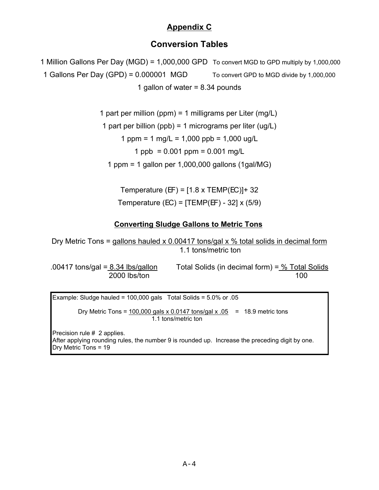## **Appendix C**

## **Conversion Tables**

```
 1 Million Gallons Per Day (MGD) = 1,000,000 GPD To convert MGD to GPD multiply by 1,000,000
1 Gallons Per Day (GPD) = 0.000001 MGD To convert GPD to MGD divide by 1,000,000
                            1 gallon of water = 8.34 pounds
```
1 part per million (ppm) = 1 milligrams per Liter (mg/L)

1 part per billion (ppb) = 1 micrograms per liter (ug/L)

1 ppm = 1 mg/L = 1,000 ppb = 1,000 ug/L

1 ppb =  $0.001$  ppm =  $0.001$  mg/L

1 ppm = 1 gallon per 1,000,000 gallons (1gal/MG)

Temperature (EF) =  $[1.8 \times \text{TEMP}(\text{EC})]+32$ Temperature (EC) = [TEMP(EF) - 32] x (5/9)

## **Converting Sludge Gallons to Metric Tons**

Dry Metric Tons = gallons hauled x 0.00417 tons/gal x  $%$  total solids in decimal form 1.1 tons/metric ton

.00417 tons/gal = 8.34 lbs/gallon Total Solids (in decimal form) = % Total Solids 2000 lbs/ton 100

Example: Sludge hauled =  $100,000$  gals Total Solids =  $5.0\%$  or .05 Dry Metric Tons = 100,000 gals x 0.0147 tons/gal x .05 = 18.9 metric tons 1.1 tons/metric ton Precision rule # 2 applies. After applying rounding rules, the number 9 is rounded up. Increase the preceding digit by one. Dry Metric Tons = 19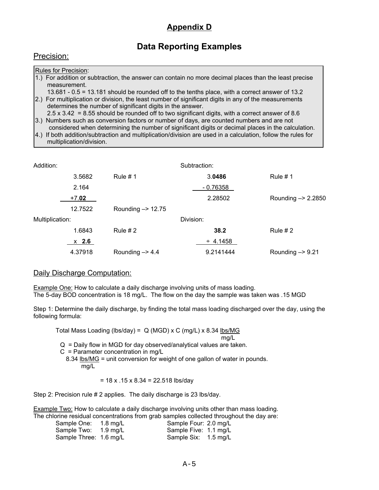## **Appendix D**

## **Data Reporting Examples**

<span id="page-32-0"></span>

|  | Precision: |  |
|--|------------|--|
|  |            |  |

| <b>Rules for Precision:</b>                                                                            |
|--------------------------------------------------------------------------------------------------------|
| 1.) For addition or subtraction, the answer can contain no more decimal places than the least precise  |
| measurement.                                                                                           |
| 13.681 - 0.5 = 13.181 should be rounded off to the tenths place, with a correct answer of 13.2         |
| [2.] For multiplication or division, the least number of significant digits in any of the measurements |
| determines the number of significant digits in the answer.                                             |
| $2.5 \times 3.42$ = 8.55 should be rounded off to two significant digits, with a correct answer of 8.6 |
| 2) Numbers such as conversion fectors or number of days are counted numbers and are not                |

bers such as conversion factors or number of days, are counted numbers and are not considered when determining the number of significant digits or decimal places in the calculation.

4.) If both addition/subtraction and multiplication/division are used in a calculation, follow the rules for multiplication/division.

| Addition:       |         |                              | Subtraction:  |                               |
|-----------------|---------|------------------------------|---------------|-------------------------------|
|                 | 3.5682  | Rule $# 1$                   | 3.0486        | Rule $# 1$                    |
|                 | 2.164   |                              | $-0.76358$    |                               |
|                 | $+7.02$ |                              | 2.28502       | Rounding $\rightarrow$ 2.2850 |
|                 | 12.7522 | Rounding $\rightarrow$ 12.75 |               |                               |
| Multiplication: |         | Division:                    |               |                               |
|                 | 1.6843  | Rule $#2$                    | 38.2          | Rule $#2$                     |
|                 | $x$ 2.6 |                              | $\div$ 4.1458 |                               |
|                 | 4.37918 | Rounding $\rightarrow$ 4.4   | 9.2141444     | Rounding $-$ 9.21             |

#### Daily Discharge Computation:

**Example One:** How to calculate a daily discharge involving units of mass loading. The 5-day BOD concentration is 18 mg/L. The flow on the day the sample was taken was .15 MGD

Step 1: Determine the daily discharge, by finding the total mass loading discharged over the day, using the following formula:

Total Mass Loading (lbs/day) =  $Q$  (MGD) x C (mg/L) x 8.34 lbs/MG

$$
\mathsf{mg/L}
$$

 $Q =$  Daily flow in MGD for day observed/analytical values are taken.

 $C =$  Parameter concentration in mg/L

 8.34 lbs/MG = unit conversion for weight of one gallon of water in pounds. mg/L

 $= 18 \times 0.15 \times 8.34 = 22.518$  lbs/day

Step 2: Precision rule # 2 applies. The daily discharge is 23 lbs/day.

Example Two: How to calculate a daily discharge involving units other than mass loading. The chlorine residual concentrations from grab samples collected throughout the day are:

| Sample One: 1.8 mg/L   | Sample Four: 2.0 mg/L |  |
|------------------------|-----------------------|--|
| Sample Two: 1.9 mg/L   | Sample Five: 1.1 mg/L |  |
| Sample Three: 1.6 mg/L | Sample Six: 1.5 mg/L  |  |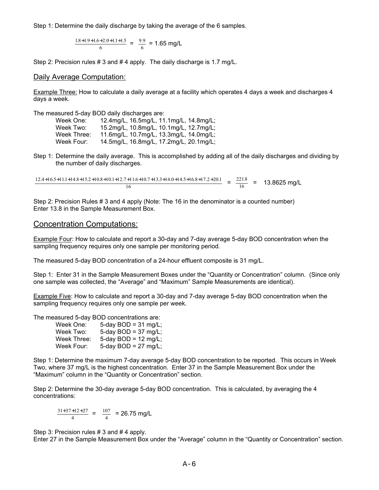Step 1: Determine the daily discharge by taking the average of the 6 samples.

 $\frac{1.8+1.9+1.6+2.0+1.1+1.5}{6} = \frac{9.9}{6} = 1.65 \text{ mg/L}$  $.8+1.9+1.6+2.0+1.1+1.5$  - 9.9 6 .

Step 2: Precision rules # 3 and # 4 apply. The daily discharge is 1.7 mg/L.

#### Daily Average Computation:

Example Three: How to calculate a daily average at a facility which operates 4 days a week and discharges 4 days a week.

The measured 5-day BOD daily discharges are:

| 12.4mg/L, 16.5mg/L, 11.1mg/L, 14.8mg/L; |
|-----------------------------------------|
| 15.2mg/L, 10.8mg/L, 10.1mg/L, 12.7mg/L; |
| 11.6mg/L, 10.7mg/L, 13.3mg/L, 14.0mg/L; |
| 14.5mg/L, 16.8mg/L, 17.2mg/L, 20.1mg/L; |
|                                         |

Step 1: Determine the daily average. This is accomplished by adding all of the daily discharges and dividing by the number of daily discharges.

 $\frac{12.4+16.5+11.1+14.8+15.2+10.8+10.1+12.7+11.6+10.7+13.3+14.0+14.5+16.8+17.2+20.1}{\sqrt{12}} = \frac{221.8}{12} = 13.8625 \text{ mg/L}$ 16 16 .

Step 2: Precision Rules # 3 and 4 apply (Note: The 16 in the denominator is a counted number) Enter 13.8 in the Sample Measurement Box.

#### Concentration Computations:

Example Four: How to calculate and report a 30-day and 7-day average 5-day BOD concentration when the sampling frequency requires only one sample per monitoring period.

The measured 5-day BOD concentration of a 24-hour effluent composite is 31 mg/L.

Step 1: Enter 31 in the Sample Measurement Boxes under the "Quantity or Concentration" column. (Since only one sample was collected, the "Average" and "Maximum" Sample Measurements are identical).

Example Five: How to calculate and report a 30-day and 7-day average 5-day BOD concentration when the sampling frequency requires only one sample per week.

The measured 5-day BOD concentrations are:

| Week One:   | 5-day BOD = $31 \text{ mg/L}$ ; |
|-------------|---------------------------------|
| Week Two:   | 5-day BOD = $37 \text{ mg/L}$ ; |
| Week Three: | 5-day BOD = $12 \text{ mg/L}$ ; |
| Week Four:  | 5-day BOD = $27 \text{ mg/L}$ ; |

Step 1: Determine the maximum 7-day average 5-day BOD concentration to be reported. This occurs in Week Two, where 37 mg/L is the highest concentration. Enter 37 in the Sample Measurement Box under the "Maximum" column in the "Quantity or Concentration" section.

Step 2: Determine the 30-day average 5-day BOD concentration. This is calculated, by averaging the 4 concentrations:

 $\frac{31+37+12+27}{4} = \frac{107}{4} = 26.75$  mg/L  $+37+12+27$  - 107 4

Step 3: Precision rules # 3 and # 4 apply.

Enter 27 in the Sample Measurement Box under the "Average" column in the "Quantity or Concentration" section.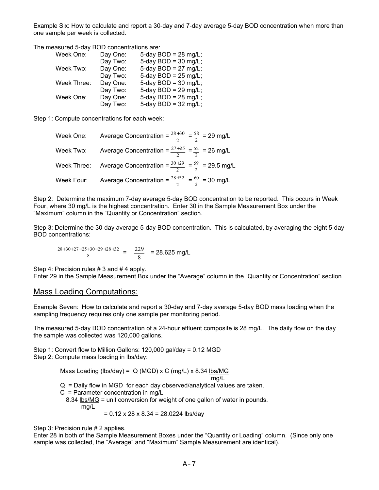Example Six: How to calculate and report a 30-day and 7-day average 5-day BOD concentration when more than one sample per week is collected.

The measured 5-day BOD concentrations are:

| Week One:   | Day One: | 5-day BOD = $28 \text{ mg/L}$ ; |
|-------------|----------|---------------------------------|
|             | Day Two: | 5-day $BOD = 30$ mg/L;          |
| Week Two:   | Day One: | 5-day BOD = $27 \text{ mg/L}$ ; |
|             | Day Two: | 5-day $BOD = 25$ mg/L;          |
| Week Three: | Day One: | 5-day BOD = $30$ mg/L;          |
|             | Day Two: | 5-day $BOD = 29$ mg/L;          |
| Week One:   | Day One: | 5-day BOD = $28 \text{ mg/L}$ ; |
|             | Day Two: | 5-day BOD = $32 \text{ mg/L}$ ; |

Step 1: Compute concentrations for each week:

|            | Week One: Average Concentration = $\frac{28+30}{2}$ = $\frac{58}{2}$ = 29 mg/L     |
|------------|------------------------------------------------------------------------------------|
| Week Two:  | Average Concentration = $\frac{27+25}{2}$ = $\frac{52}{2}$ = 26 mg/L               |
|            | Week Three: Average Concentration = $\frac{30+29}{2}$ = $\frac{59}{2}$ = 29.5 mg/L |
| Week Four: | Average Concentration = $\frac{28+32}{2} = \frac{60}{2} = 30$ mg/L                 |

Step 2: Determine the maximum 7-day average 5-day BOD concentration to be reported. This occurs in Week Four, where 30 mg/L is the highest concentration. Enter 30 in the Sample Measurement Box under the "Maximum" column in the "Quantity or Concentration" section.

Step 3: Determine the 30-day average 5-day BOD concentration. This is calculated, by averaging the eight 5-day BOD concentrations:

 $\frac{28+30+27+25+30+29+28+32}{8} = \frac{229}{8} = 28.625 \text{ mg/L}$  $+30+27+25+30+29+28+32$  229 8

Step 4: Precision rules # 3 and # 4 apply.

Enter 29 in the Sample Measurement Box under the "Average" column in the "Quantity or Concentration" section.

#### Mass Loading Computations:

Example Seven: How to calculate and report a 30-day and 7-day average 5-day BOD mass loading when the sampling frequency requires only one sample per monitoring period.

The measured 5-day BOD concentration of a 24-hour effluent composite is 28 mg/L. The daily flow on the day the sample was collected was 120,000 gallons.

Step 1: Convert flow to Million Gallons: 120,000 gal/day = 0.12 MGD Step 2: Compute mass loading in lbs/day:

> Mass Loading (lbs/day) =  $Q$  (MGD) x C (mg/L) x 8.34 lbs/MG mg/L Q = Daily flow in MGD for each day observed/analytical values are taken. C = Parameter concentration in mg/L 8.34 lbs/MG = unit conversion for weight of one gallon of water in pounds. mg/L  $= 0.12 \times 28 \times 8.34 = 28.0224$  lbs/day

Step 3: Precision rule # 2 applies.

Enter 28 in both of the Sample Measurement Boxes under the "Quantity or Loading" column. (Since only one sample was collected, the "Average" and "Maximum" Sample Measurement are identical).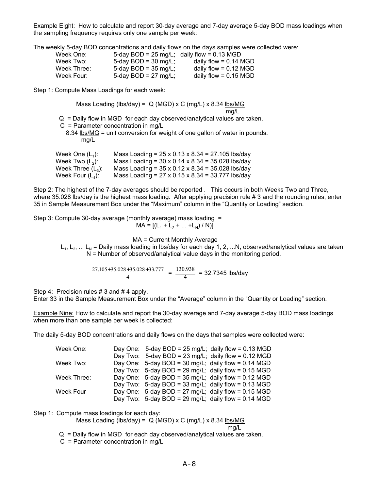Example Eight: How to calculate and report 30-day average and 7-day average 5-day BOD mass loadings when the sampling frequency requires only one sample per week:

The weekly 5-day BOD concentrations and daily flows on the days samples were collected were:

| Week One:   | 5-day BOD = 25 mg/L; daily flow = 0.13 MGD |                         |
|-------------|--------------------------------------------|-------------------------|
| Week Two:   | 5-day BOD = $30 \text{ mg/L}$ ;            | daily flow = $0.14$ MGD |
| Week Three: | 5-day BOD = $35 \text{ mg/L}$ ;            | daily flow = $0.12$ MGD |
| Week Four:  | 5-day BOD = $27 \text{ mg/L}$ ;            | daily flow = $0.15$ MGD |

Step 1: Compute Mass Loadings for each week:

 Mass Loading (lbs/day) = Q (MGD) x C (mg/L) x 8.34 lbs/MG mg/L Q = Daily flow in MGD for each day observed/analytical values are taken.

 $C =$  Parameter concentration in mg/L

8.34 lbs/MG = unit conversion for weight of one gallon of water in pounds. mg/L

| Week One (L $_1$ ):             | Mass Loading = $25 \times 0.13 \times 8.34 = 27.105$ lbs/day |
|---------------------------------|--------------------------------------------------------------|
| Week Two (L <sub>2</sub> ):     | Mass Loading = $30 \times 0.14 \times 8.34 = 35.028$ lbs/day |
| Week Three $(\mathsf{L}_{3})$ : | Mass Loading = $35 \times 0.12 \times 8.34 = 35.028$ lbs/day |
| Week Four (L』):                 | Mass Loading = 27 x 0.15 x 8.34 = 33.777 lbs/day             |

Step 2: The highest of the 7-day averages should be reported . This occurs in both Weeks Two and Three, where 35.028 lbs/day is the highest mass loading. After applying precision rule # 3 and the rounding rules, enter 35 in Sample Measurement Box under the "Maximum" column in the "Quantity or Loading" section.

Step 3: Compute 30-day average (monthly average) mass loading =  $MA = [(L<sub>1</sub> + L<sub>2</sub> + ... + L<sub>N</sub>) / N)]$ 

MA = Current Monthly Average

 $L_1, L_2, ... L_N$  = Daily mass loading in lbs/day for each day 1, 2, ...N, observed/analytical values are taken N = Number of observed/analytical value days in the monitoring period.

 $\frac{27.105 + 35.028 + 35.028 + 33.777}{4} = \frac{130.938}{4} = 32.7345$  lbs/day .105+35.028+35.028+33.777 130.938 4 .

Step 4: Precision rules # 3 and # 4 apply.

Enter 33 in the Sample Measurement Box under the "Average" column in the "Quantity or Loading" section.

Example Nine: How to calculate and report the 30-day average and 7-day average 5-day BOD mass loadings when more than one sample per week is collected:

The daily 5-day BOD concentrations and daily flows on the days that samples were collected were:

|  | Day One: $5$ -day BOD = 25 mg/L; daily flow = 0.13 MGD<br>Day Two: 5-day BOD = 23 mg/L; daily flow = $0.12$ MGD<br>Day One: 5-day BOD = 30 mg/L; daily flow = $0.14$ MGD<br>Day Two: 5-day BOD = 29 mg/L; daily flow = $0.15$ MGD<br>Day One: $5$ -day BOD = 35 mg/L; daily flow = 0.12 MGD<br>Day Two: 5-day BOD = 33 mg/L; daily flow = $0.13$ MGD<br>Day One: $5$ -day BOD = 27 mg/L; daily flow = 0.15 MGD<br>Day Two: 5-day BOD = 29 mg/L; daily flow = $0.14$ MGD |
|--|-------------------------------------------------------------------------------------------------------------------------------------------------------------------------------------------------------------------------------------------------------------------------------------------------------------------------------------------------------------------------------------------------------------------------------------------------------------------------|

Step 1: Compute mass loadings for each day:

Mass Loading (lbs/day) =  $Q$  (MGD) x C (mg/L) x 8.34 lbs/MG

mg/L

Q = Daily flow in MGD for each day observed/analytical values are taken.

C = Parameter concentration in mg/L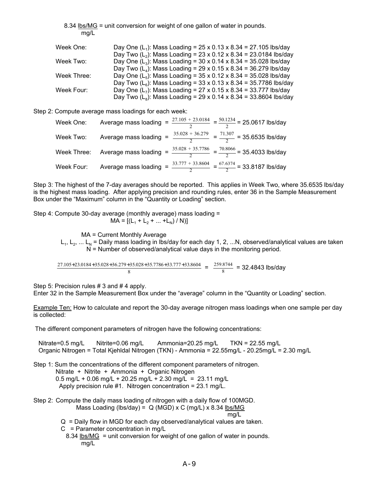8.34 lbs/MG = unit conversion for weight of one gallon of water in pounds. mg/L Week One: Day One  $(L_1)$ : Mass Loading =  $25 \times 0.13 \times 8.34 = 27.105$  lbs/day Day Two  $(L_2)$ : Mass Loading = 23 x 0.12 x 8.34 = 23.0184 lbs/day Week Two: Day One  $(L_3)$ : Mass Loading = 30 x 0.14 x 8.34 = 35.028 lbs/day Day Two  $(L_4)$ : Mass Loading = 29 x 0.15 x 8.34 = 36.279 lbs/day Week Three: Day One  $(L_5)$ : Mass Loading =  $35 \times 0.12 \times 8.34 = 35.028$  lbs/day Day Two  $(L_6)$ : Mass Loading = 33 x 0.13 x 8.34 = 35.7786 lbs/day Week Four: Day One  $(L_7)$ : Mass Loading = 27 x 0.15 x 8.34 = 33.777 lbs/day Day Two  $(L_8)$ : Mass Loading = 29 x 0.14 x 8.34 = 33.8604 lbs/day

Step 2: Compute average mass loadings for each week:

| Week One:  |  | Average mass loading = $\frac{27.105 + 23.0184}{2}$ = $\frac{50.1234}{2}$ = 25.0617 lbs/day           |
|------------|--|-------------------------------------------------------------------------------------------------------|
| Week Two:  |  | Average mass loading = $\frac{35.028 + 36.279}{2} = \frac{71.307}{2} = 35.6535$ lbs/day               |
|            |  | Week Three: Average mass loading = $\frac{35.028 + 35.7786}{2} = \frac{70.8066}{2} = 35.4033$ lbs/day |
| Week Four: |  | Average mass loading = $\frac{33.777 + 33.8604}{2}$ = $\frac{67.6374}{2}$ = 33.8187 lbs/day           |

Step 3: The highest of the 7-day averages should be reported. This applies in Week Two, where 35.6535 lbs/day is the highest mass loading. After applying precision and rounding rules, enter 36 in the Sample Measurement Box under the "Maximum" column in the "Quantity or Loading" section.

Step 4: Compute 30-day average (monthly average) mass loading =  $MA = [(L<sub>1</sub> + L<sub>2</sub> + ... + L<sub>N</sub>) / N)]$ 

MA = Current Monthly Average

 $L_1, L_2, ... L_N$  = Daily mass loading in lbs/day for each day 1, 2, ...N, observed/analytical values are taken  $N =$  Number of observed/analytical value days in the monitoring period.

 $\frac{27.105 + 23.0184 + 35.028 + 36.279 + 35.028 + 35.7786 + 33.777 + 33.8604}{8} = \frac{259.8744}{8} = 32.4843$  lbs/day .105+23.0184+35.028+36.279+35.028+35.7786+33.777+33.8604 259.8744 8 .

Step 5: Precision rules # 3 and # 4 apply.

Enter 32 in the Sample Measurement Box under the "average" column in the "Quantity or Loading" section.

Example Ten: How to calculate and report the 30-day average nitrogen mass loadings when one sample per day is collected:

The different component parameters of nitrogen have the following concentrations:

 Nitrate=0.5 mg/L Nitrite=0.06 mg/L Ammonia=20.25 mg/L TKN = 22.55 mg/L Organic Nitrogen = Total Kjehldal Nitrogen (TKN) - Ammonia = 22.55mg/L - 20.25mg/L = 2.30 mg/L

Step 1: Sum the concentrations of the different component parameters of nitrogen.

Nitrate + Nitrite + Ammonia + Organic Nitrogen

0.5 mg/L + 0.06 mg/L + 20.25 mg/L + 2.30 mg/L = 23.11 mg/L

Apply precision rule #1. Nitrogen concentration = 23.1 mg/L.

Step 2: Compute the daily mass loading of nitrogen with a daily flow of 100MGD. Mass Loading (lbs/day) =  $Q$  (MGD) x C (mg/L) x 8.34 lbs/MG

mg/L

- Q = Daily flow in MGD for each day observed/analytical values are taken.
- $C =$  Parameter concentration in mg/L
	- 8.34  $lbs/MG = unit conversion for weight of one gallon of water in pounds.$ </u> mg/L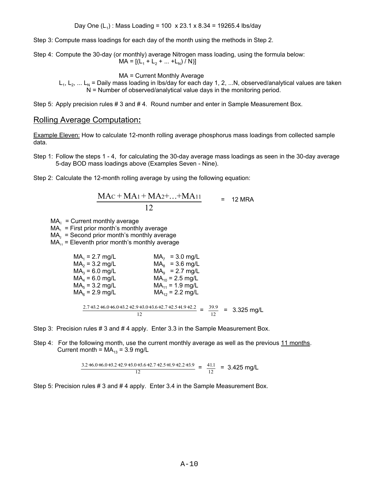Step 3: Compute mass loadings for each day of the month using the methods in Step 2.

Step 4: Compute the 30-day (or monthly) average Nitrogen mass loading, using the formula below:  $MA = \left[ \left( L_1 + L_2 + \ldots + L_N \right) / N \right]$ 

MA = Current Monthly Average

 $L_1, L_2, ... L_N$  = Daily mass loading in lbs/day for each day 1, 2, ...N, observed/analytical values are taken N = Number of observed/analytical value days in the monitoring period.

Step 5: Apply precision rules # 3 and # 4. Round number and enter in Sample Measurement Box.

#### Rolling Average Computation**:**

Example Eleven: How to calculate 12-month rolling average phosphorus mass loadings from collected sample data.

- Step 1: Follow the steps 1 4, for calculating the 30-day average mass loadings as seen in the 30-day average 5-day BOD mass loadings above (Examples Seven - Nine).
- Step 2: Calculate the 12-month rolling average by using the following equation:

$$
\frac{MAC + MA_1 + MA_2 + ... + MA_{11}}{12} = 12 \text{ MRA}
$$

 $MA<sub>c</sub> = Current monthly average$ 

 $MA<sub>1</sub>$  = First prior month's monthly average

 $MA<sub>2</sub>$  = Second prior month's monthly average

 $MA_{11}$  = Eleventh prior month's monthly average

| $MA_1 = 2.7$ mg/L                                                                       | $MA_7 = 3.0$ mg/L    |  |
|-----------------------------------------------------------------------------------------|----------------------|--|
| $MA_2 = 3.2$ mg/L                                                                       | $MA8 = 3.6$ mg/L     |  |
| $MA_3 = 6.0$ mg/L                                                                       | $MAa = 2.7 mg/L$     |  |
| $MA4 = 6.0$ mg/L                                                                        | $MA_{10} = 2.5$ mg/L |  |
| $MA5 = 3.2$ mg/L                                                                        | $MA_{11} = 1.9$ mg/L |  |
| $MA6 = 2.9$ mg/L                                                                        | $MA_{12} = 2.2$ mg/L |  |
|                                                                                         |                      |  |
| $2.7+3.2+6.0+6.0+3.2+2.9+3.0+3.6+2.7+2.5+1.9+2.2 = \frac{39.9}{ } = 3.325 \text{ mg/L}$ |                      |  |
| 12                                                                                      |                      |  |

Step 3: Precision rules # 3 and # 4 apply. Enter 3.3 in the Sample Measurement Box.

Step 4: For the following month, use the current monthly average as well as the previous 11 months. Current month =  $MA_{13} = 3.9$  mg/L

 $\frac{3.2+6.0+6.0+3.2+2.9+3.0+3.6+2.7+2.5+1.9+2.2+3.9}{12} = \frac{41.1}{12} = 3.425 \text{ mg/L}$  $.2+6.0+6.0+3.2+2.9+3.0+3.6+2.7+2.5+1.9+2.2+3.9$   $- 41.1$ 12 .

Step 5: Precision rules # 3 and # 4 apply. Enter 3.4 in the Sample Measurement Box.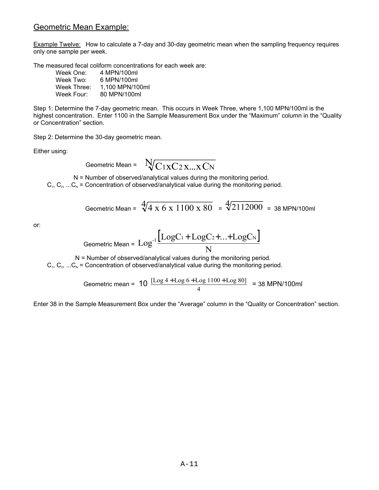#### Geometric Mean Example:

Example Twelve: How to calculate a 7-day and 30-day geometric mean when the sampling frequency requires only one sample per week.

The measured fecal coliform concentrations for each week are:

| Week One:   | 4 MPN/100ml     |
|-------------|-----------------|
| Week Two:   | 6 MPN/100ml     |
| Week Three: | 1.100 MPN/100ml |
| Week Four:  | 80 MPN/100ml    |

Step 1: Determine the 7-day geometric mean. This occurs in Week Three, where 1,100 MPN/100ml is the highest concentration. Enter 1100 in the Sample Measurement Box under the "Maximum" column in the "Quality or Concentration" section.

Step 2: Determine the 30-day geometric mean.

Either using:

Geometric Mean = 
$$
\sqrt{C_1 x C_2 x ... x C_N}
$$

N = Number of observed/analytical values during the monitoring period.

 $C_1, C_2, ... C_N$  = Concentration of observed/analytical value during the monitoring period.

Geometric Mean = 
$$
\sqrt[4]{4 \times 6 \times 1100 \times 80}
$$
 =  $\sqrt[4]{2112000}$  = 38 MPN/100ml

or:

$$
\text{Geometric Mean} = \text{Log}^{-1} \frac{\left[ \text{LogC}_{1} + \text{LogC}_{2} + ... + \text{LogC}_{N} \right]}{N}
$$

 N = Number of observed/analytical values during the monitoring period.  $C_1, C_2, ... C_N$  = Concentration of observed/analytical value during the monitoring period.

Geometric mean = 
$$
10 \frac{[Log 4 + Log 6 + Log 1100 + Log 80]}{4} = 38 \text{ MPN/100ml}
$$

Enter 38 in the Sample Measurement Box under the "Average" column in the "Quality or Concentration" section.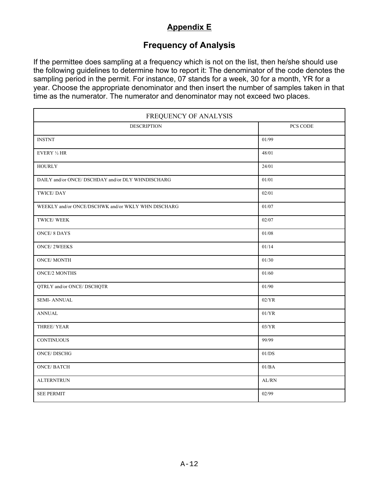## **Appendix E**

## **Frequency of Analysis**

<span id="page-39-0"></span>If the permittee does sampling at a frequency which is not on the list, then he/she should use the following guidelines to determine how to report it: The denominator of the code denotes the sampling period in the permit. For instance, 07 stands for a week, 30 for a month, YR for a year. Choose the appropriate denominator and then insert the number of samples taken in that time as the numerator. The numerator and denominator may not exceed two places.

| FREQUENCY OF ANALYSIS                              |           |  |
|----------------------------------------------------|-----------|--|
| <b>DESCRIPTION</b>                                 | PCS CODE  |  |
| <b>INSTNT</b>                                      | 01/99     |  |
| EVERY 1/2 HR                                       | 48/01     |  |
| <b>HOURLY</b>                                      | 24/01     |  |
| DAILY and/or ONCE/ DSCHDAY and/or DLY WHNDISCHARG  | 01/01     |  |
| TWICE/DAY                                          | 02/01     |  |
| WEEKLY and/or ONCE/DSCHWK and/or WKLY WHN DISCHARG | $01/07\,$ |  |
| TWICE/WEEK                                         | 02/07     |  |
| <b>ONCE/8 DAYS</b>                                 | $01/08$   |  |
| <b>ONCE/2WEEKS</b>                                 | 01/14     |  |
| <b>ONCE/MONTH</b>                                  | 01/30     |  |
| <b>ONCE/2 MONTHS</b>                               | 01/60     |  |
| QTRLY and/or ONCE/ DSCHQTR                         | 01/90     |  |
| <b>SEMI-ANNUAL</b>                                 | 02/YR     |  |
| <b>ANNUAL</b>                                      | 01/YR     |  |
| THREE/YEAR                                         | 03/YR     |  |
| <b>CONTINUOUS</b>                                  | 99/99     |  |
| <b>ONCE/DISCHG</b>                                 | 01/DS     |  |
| <b>ONCE/BATCH</b>                                  | 01/BA     |  |
| <b>ALTERNTRUN</b>                                  | AL/RN     |  |
| <b>SEE PERMIT</b>                                  | 02/99     |  |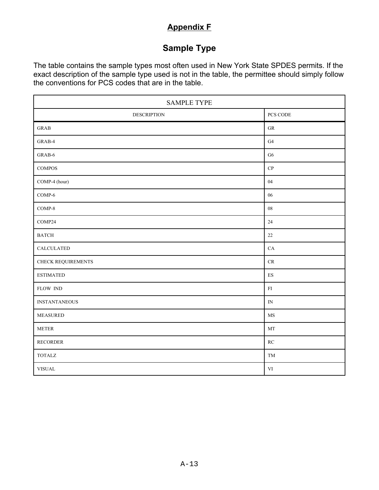## **Appendix F**

## **Sample Type**

<span id="page-40-0"></span>The table contains the sample types most often used in New York State SPDES permits. If the exact description of the sample type used is not in the table, the permittee should simply follow the conventions for PCS codes that are in the table.

| <b>SAMPLE TYPE</b>     |                          |  |
|------------------------|--------------------------|--|
| <b>DESCRIPTION</b>     | PCS CODE                 |  |
| GRAB                   | ${\rm GR}$               |  |
| GRAB-4                 | G4                       |  |
| GRAB-6                 | ${\rm G6}$               |  |
| <b>COMPOS</b>          | ${\bf CP}$               |  |
| COMP-4 (hour)          | $04\,$                   |  |
| COMP-6                 | $06\,$                   |  |
| $COMP-8$               | ${\bf 08}$               |  |
| COMP24                 | $24\,$                   |  |
| $\operatorname{BATCH}$ | $22\,$                   |  |
| CALCULATED             | ${\rm CA}$               |  |
| CHECK REQUIREMENTS     | $\mathrm{CR}$            |  |
| <b>ESTIMATED</b>       | $\mathop{\hbox{\rm ES}}$ |  |
| FLOW IND               | ${\rm FI}$               |  |
| <b>INSTANTANEOUS</b>   | ${\rm IN}$               |  |
| <b>MEASURED</b>        | $\rm{MS}$                |  |
| <b>METER</b>           | MT                       |  |
| <b>RECORDER</b>        | RC                       |  |
| <b>TOTALZ</b>          | TM                       |  |
| <b>VISUAL</b>          | $\mathbf{VI}$            |  |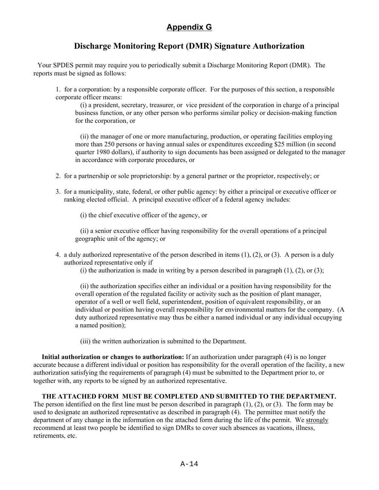## **Appendix G**

## **Discharge Monitoring Report (DMR) Signature Authorization**

<span id="page-41-0"></span> Your SPDES permit may require you to periodically submit a Discharge Monitoring Report (DMR). The reports must be signed as follows:

1. for a corporation: by a responsible corporate officer. For the purposes of this section, a responsible corporate officer means:

 (i) a president, secretary, treasurer, or vice president of the corporation in charge of a principal business function, or any other person who performs similar policy or decision-making function for the corporation, or

 (ii) the manager of one or more manufacturing, production, or operating facilities employing more than 250 persons or having annual sales or expenditures exceeding \$25 million (in second quarter 1980 dollars), if authority to sign documents has been assigned or delegated to the manager in accordance with corporate procedures, or

- 2. for a partnership or sole proprietorship: by a general partner or the proprietor, respectively; or
- 3. for a municipality, state, federal, or other public agency: by either a principal or executive officer or ranking elected official. A principal executive officer of a federal agency includes:

(i) the chief executive officer of the agency, or

 (ii) a senior executive officer having responsibility for the overall operations of a principal geographic unit of the agency; or

4. a duly authorized representative of the person described in items (1), (2), or (3). A person is a duly authorized representative only if

(i) the authorization is made in writing by a person described in paragraph  $(1)$ ,  $(2)$ , or  $(3)$ ;

 (ii) the authorization specifies either an individual or a position having responsibility for the overall operation of the regulated facility or activity such as the position of plant manager, operator of a well or well field, superintendent, position of equivalent responsibility, or an individual or position having overall responsibility for environmental matters for the company. (A duty authorized representative may thus be either a named individual or any individual occupying a named position);

(iii) the written authorization is submitted to the Department.

**Initial authorization or changes to authorization:** If an authorization under paragraph (4) is no longer accurate because a different individual or position has responsibility for the overall operation of the facility, a new authorization satisfying the requirements of paragraph (4) must be submitted to the Department prior to, or together with, any reports to be signed by an authorized representative.

#### **THE ATTACHED FORM MUST BE COMPLETED AND SUBMITTED TO THE DEPARTMENT.**

The person identified on the first line must be person described in paragraph (1), (2), or (3). The form may be used to designate an authorized representative as described in paragraph (4). The permittee must notify the department of any change in the information on the attached form during the life of the permit. We strongly recommend at least two people be identified to sign DMRs to cover such absences as vacations, illness, retirements, etc.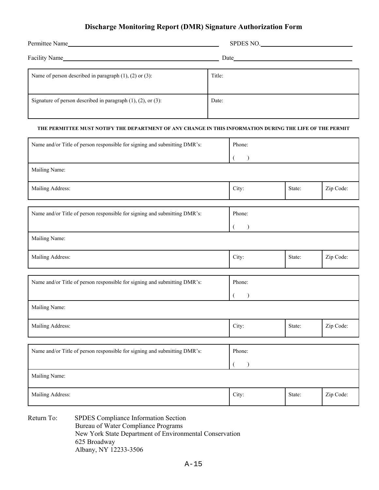#### **Discharge Monitoring Report (DMR) Signature Authorization Form**

| Permittee Name                                                        | SPDES NO. |
|-----------------------------------------------------------------------|-----------|
| Facility Name                                                         |           |
| Name of person described in paragraph $(1)$ , $(2)$ or $(3)$ :        | Title:    |
| Signature of person described in paragraph $(1)$ , $(2)$ , or $(3)$ : | Date:     |

#### **THE PERMITTEE MUST NOTIFY THE DEPARTMENT OF ANY CHANGE IN THIS INFORMATION DURING THE LIFE OF THE PERMIT**

| Name and/or Title of person responsible for signing and submitting DMR's: | Phone:         |        |           |
|---------------------------------------------------------------------------|----------------|--------|-----------|
|                                                                           | $\lambda$      |        |           |
| Mailing Name:                                                             |                |        |           |
| Mailing Address:                                                          | City:          | State: | Zip Code: |
|                                                                           |                |        |           |
| Name and/or Title of person responsible for signing and submitting DMR's: | Phone:         |        |           |
|                                                                           | $\lambda$<br>€ |        |           |
| Mailing Name:                                                             |                |        |           |
| Mailing Address:                                                          | City:          | State: | Zip Code: |
|                                                                           |                |        |           |
| Name and/or Title of person responsible for signing and submitting DMR's: | Phone:         |        |           |
|                                                                           |                |        |           |
| Mailing Name:                                                             |                |        |           |
| Mailing Address:                                                          | City:          | State: | Zip Code: |
|                                                                           |                |        |           |
| Name and/or Title of person responsible for signing and submitting DMR's: | Phone:         |        |           |
|                                                                           |                |        |           |
| Mailing Name:                                                             |                |        |           |
| Mailing Address:                                                          | City:          | State: | Zip Code: |

Return To: SPDES Compliance Information Section Bureau of Water Compliance Programs New York State Department of Environmental Conservation 625 Broadway Albany, NY 12233-3506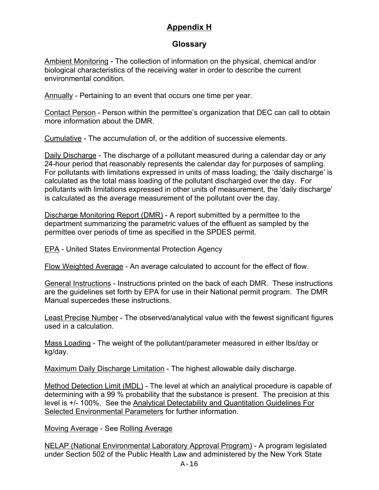## **Appendix H**

## **Glossary**

<span id="page-43-0"></span>Ambient Monitoring - The collection of information on the physical, chemical and/or biological characteristics of the receiving water in order to describe the current environmental condition.

Annually - Pertaining to an event that occurs one time per year.

Contact Person - Person within the permittee's organization that DEC can call to obtain more information about the DMR.

Cumulative - The accumulation of, or the addition of successive elements.

Daily Discharge - The discharge of a pollutant measured during a calendar day or any 24-hour period that reasonably represents the calendar day for purposes of sampling. For pollutants with limitations expressed in units of mass loading, the 'daily discharge' is calculated as the total mass loading of the pollutant discharged over the day. For pollutants with limitations expressed in other units of measurement, the 'daily discharge' is calculated as the average measurement of the pollutant over the day.

Discharge Monitoring Report (DMR) - A report submitted by a permittee to the department summarizing the parametric values of the effluent as sampled by the permittee over periods of time as specified in the SPDES permit.

EPA - United States Environmental Protection Agency

Flow Weighted Average - An average calculated to account for the effect of flow.

General Instructions - Instructions printed on the back of each DMR. These instructions are the guidelines set forth by EPA for use in their National permit program. The DMR Manual supercedes these instructions.

Least Precise Number - The observed/analytical value with the fewest significant figures used in a calculation.

Mass Loading - The weight of the pollutant/parameter measured in either lbs/day or kg/day.

Maximum Daily Discharge Limitation - The highest allowable daily discharge.

Method Detection Limit (MDL) - The level at which an analytical procedure is capable of determining with a 99 % probability that the substance is present. The precision at this level is +/- 100%. See the Analytical Detectability and Quantitation Guidelines For Selected Environmental Parameters for further information.

Moving Average - See Rolling Average

NELAP (National Environmental Laboratory Approval Program) - A program legislated under Section 502 of the Public Health Law and administered by the New York State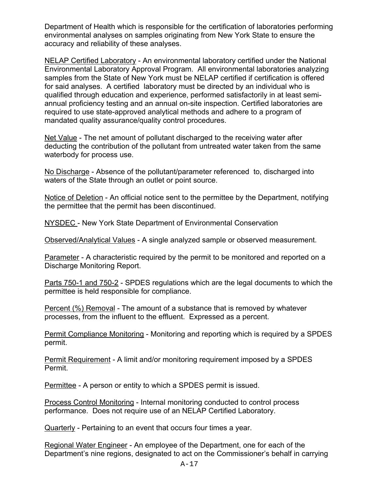Department of Health which is responsible for the certification of laboratories performing environmental analyses on samples originating from New York State to ensure the accuracy and reliability of these analyses.

NELAP Certified Laboratory - An environmental laboratory certified under the National Environmental Laboratory Approval Program. All environmental laboratories analyzing samples from the State of New York must be NELAP certified if certification is offered for said analyses. A certified laboratory must be directed by an individual who is qualified through education and experience, performed satisfactorily in at least semiannual proficiency testing and an annual on-site inspection. Certified laboratories are required to use state-approved analytical methods and adhere to a program of mandated quality assurance/quality control procedures.

Net Value - The net amount of pollutant discharged to the receiving water after deducting the contribution of the pollutant from untreated water taken from the same waterbody for process use.

No Discharge - Absence of the pollutant/parameter referenced to, discharged into waters of the State through an outlet or point source.

Notice of Deletion - An official notice sent to the permittee by the Department, notifying the permittee that the permit has been discontinued.

NYSDEC - New York State Department of Environmental Conservation

Observed/Analytical Values - A single analyzed sample or observed measurement.

Parameter - A characteristic required by the permit to be monitored and reported on a Discharge Monitoring Report.

Parts 750-1 and 750-2 - SPDES regulations which are the legal documents to which the permittee is held responsible for compliance.

Percent (%) Removal - The amount of a substance that is removed by whatever processes, from the influent to the effluent. Expressed as a percent.

Permit Compliance Monitoring - Monitoring and reporting which is required by a SPDES permit.

Permit Requirement - A limit and/or monitoring requirement imposed by a SPDES Permit.

Permittee - A person or entity to which a SPDES permit is issued.

Process Control Monitoring - Internal monitoring conducted to control process performance. Does not require use of an NELAP Certified Laboratory.

Quarterly - Pertaining to an event that occurs four times a year.

Regional Water Engineer - An employee of the Department, one for each of the Department's nine regions, designated to act on the Commissioner's behalf in carrying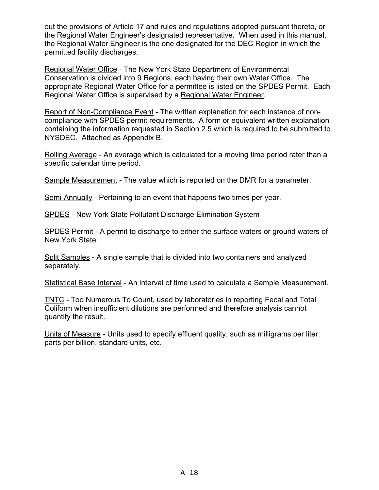out the provisions of Article 17 and rules and regulations adopted pursuant thereto, or the Regional Water Engineer's designated representative. When used in this manual, the Regional Water Engineer is the one designated for the DEC Region in which the permitted facility discharges.

Regional Water Office - The New York State Department of Environmental Conservation is divided into 9 Regions, each having their own Water Office. The appropriate Regional Water Office for a permittee is listed on the SPDES Permit. Each Regional Water Office is supervised by a Regional Water Engineer.

Report of Non-Compliance Event - The written explanation for each instance of noncompliance with SPDES permit requirements. A form or equivalent written explanation containing the information requested in Section 2.5 which is required to be submitted to NYSDEC. Attached as Appendix B.

Rolling Average - An average which is calculated for a moving time period rater than a specific calendar time period.

Sample Measurement - The value which is reported on the DMR for a parameter.

Semi-Annually - Pertaining to an event that happens two times per year.

SPDES - New York State Pollutant Discharge Elimination System

SPDES Permit - A permit to discharge to either the surface waters or ground waters of New York State.

Split Samples - A single sample that is divided into two containers and analyzed separately.

Statistical Base Interval - An interval of time used to calculate a Sample Measurement.

TNTC - Too Numerous To Count, used by laboratories in reporting Fecal and Total Coliform when insufficient dilutions are performed and therefore analysis cannot quantify the result.

Units of Measure - Units used to specify effluent quality, such as milligrams per liter, parts per billion, standard units, etc.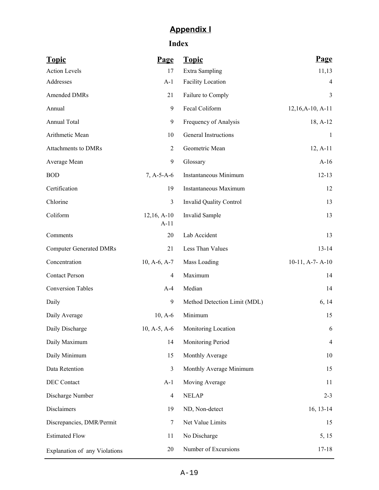## **Appendix I**

## **Index**

<span id="page-46-0"></span>

| <b>Topic</b>                   | <b>Page</b>             | <b>Topic</b>                   | <b>Page</b>         |
|--------------------------------|-------------------------|--------------------------------|---------------------|
| <b>Action Levels</b>           | 17                      | Extra Sampling                 | 11,13               |
| Addresses                      | $A-1$                   | <b>Facility Location</b>       | 4                   |
| Amended DMRs                   | 21                      | Failure to Comply              | $\overline{3}$      |
| Annual                         | 9                       | Fecal Coliform                 | $12,16, A-10, A-11$ |
| <b>Annual Total</b>            | 9                       | Frequency of Analysis          | 18, A-12            |
| Arithmetic Mean                | 10                      | General Instructions           | -1                  |
| Attachments to DMRs            | $\overline{2}$          | Geometric Mean                 | $12, A-11$          |
| Average Mean                   | 9                       | Glossary                       | $A-16$              |
| <b>BOD</b>                     | $7, A-5-A-6$            | Instantaneous Minimum          | $12-13$             |
| Certification                  | 19                      | Instantaneous Maximum          | 12                  |
| Chlorine                       | 3                       | <b>Invalid Quality Control</b> | 13                  |
| Coliform                       | $12,16, A-10$<br>$A-11$ | Invalid Sample                 | 13                  |
| Comments                       | 20                      | Lab Accident                   | 13                  |
| <b>Computer Generated DMRs</b> | 21                      | Less Than Values               | $13 - 14$           |
| Concentration                  | $10, A-6, A-7$          | Mass Loading                   | $10-11$ , A-7-A-10  |
| <b>Contact Person</b>          | $\overline{4}$          | Maximum                        | 14                  |
| <b>Conversion Tables</b>       | $A-4$                   | Median                         | 14                  |
| Daily                          | 9                       | Method Detection Limit (MDL)   | 6, 14               |
| Daily Average                  | $10, A-6$               | Minimum                        | 15                  |
| Daily Discharge                | $10, A-5, A-6$          | Monitoring Location            | 6                   |
| Daily Maximum                  | 14                      | Monitoring Period              | $\overline{4}$      |
| Daily Minimum                  | 15                      | Monthly Average                | 10                  |
| Data Retention                 | $\mathfrak{Z}$          | Monthly Average Minimum        | 15                  |
| DEC Contact                    | $A-1$                   | Moving Average                 | 11                  |
| Discharge Number               | $\overline{4}$          | <b>NELAP</b>                   | $2 - 3$             |
| Disclaimers                    | 19                      | ND, Non-detect                 | $16, 13-14$         |
| Discrepancies, DMR/Permit      | 7                       | Net Value Limits               | 15                  |
| <b>Estimated Flow</b>          | 11                      | No Discharge                   | 5, 15               |
| Explanation of any Violations  | 20                      | Number of Excursions           | $17 - 18$           |